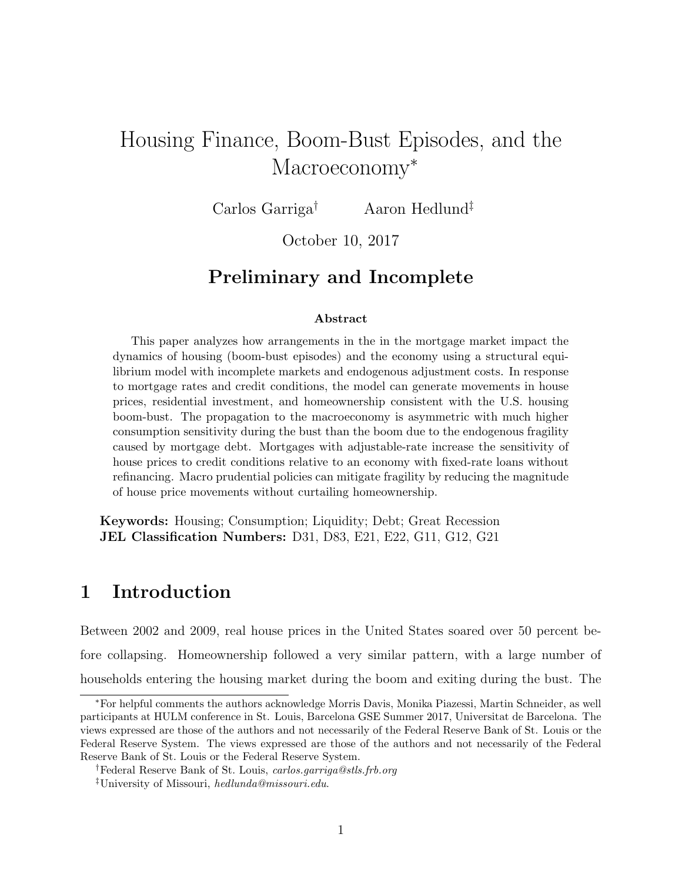# Housing Finance, Boom-Bust Episodes, and the Macroeconomy<sup>\*</sup>

Carlos Garriga† Aaron Hedlund‡

October 10, 2017

## Preliminary and Incomplete

#### Abstract

This paper analyzes how arrangements in the in the mortgage market impact the dynamics of housing (boom-bust episodes) and the economy using a structural equilibrium model with incomplete markets and endogenous adjustment costs. In response to mortgage rates and credit conditions, the model can generate movements in house prices, residential investment, and homeownership consistent with the U.S. housing boom-bust. The propagation to the macroeconomy is asymmetric with much higher consumption sensitivity during the bust than the boom due to the endogenous fragility caused by mortgage debt. Mortgages with adjustable-rate increase the sensitivity of house prices to credit conditions relative to an economy with fixed-rate loans without refinancing. Macro prudential policies can mitigate fragility by reducing the magnitude of house price movements without curtailing homeownership.

Keywords: Housing; Consumption; Liquidity; Debt; Great Recession JEL Classification Numbers: D31, D83, E21, E22, G11, G12, G21

## 1 Introduction

Between 2002 and 2009, real house prices in the United States soared over 50 percent before collapsing. Homeownership followed a very similar pattern, with a large number of households entering the housing market during the boom and exiting during the bust. The

<sup>∗</sup>For helpful comments the authors acknowledge Morris Davis, Monika Piazessi, Martin Schneider, as well participants at HULM conference in St. Louis, Barcelona GSE Summer 2017, Universitat de Barcelona. The views expressed are those of the authors and not necessarily of the Federal Reserve Bank of St. Louis or the Federal Reserve System. The views expressed are those of the authors and not necessarily of the Federal Reserve Bank of St. Louis or the Federal Reserve System.

<sup>†</sup>Federal Reserve Bank of St. Louis, carlos.garriga@stls.frb.org

<sup>‡</sup>University of Missouri, hedlunda@missouri.edu.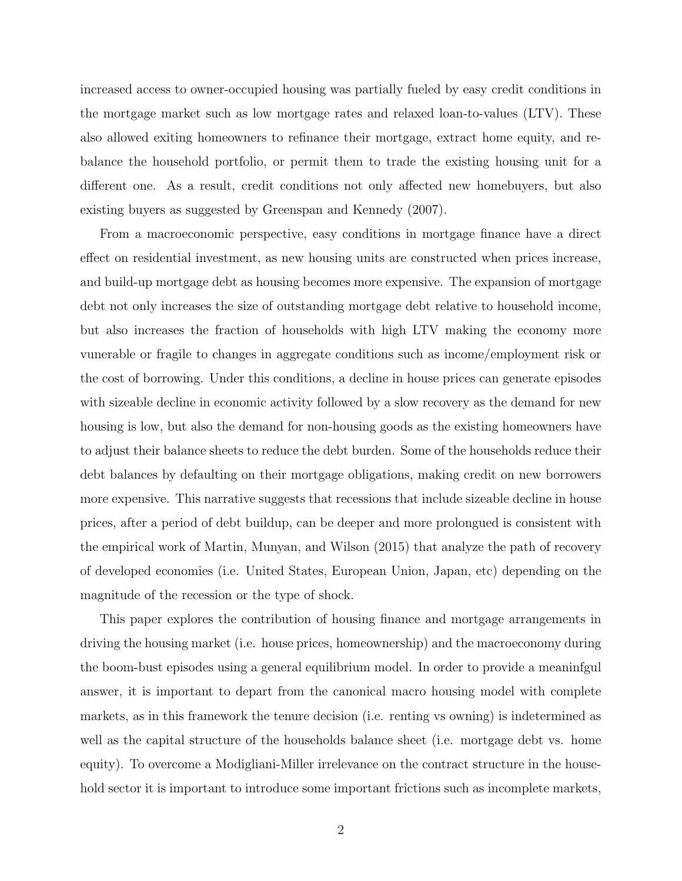increased access to owner-occupied housing was partially fueled by easy credit conditions in the mortgage market such as low mortgage rates and relaxed loan-to-values (LTV). These also allowed exiting homeowners to refinance their mortgage, extract home equity, and rebalance the household portfolio, or permit them to trade the existing housing unit for a different one. As a result, credit conditions not only affected new homebuyers, but also existing buyers as suggested by Greenspan and Kennedy (2007).

From a macroeconomic perspective, easy conditions in mortgage finance have a direct effect on residential investment, as new housing units are constructed when prices increase, and build-up mortgage debt as housing becomes more expensive. The expansion of mortgage debt not only increases the size of outstanding mortgage debt relative to household income, but also increases the fraction of households with high LTV making the economy more vunerable or fragile to changes in aggregate conditions such as income/employment risk or the cost of borrowing. Under this conditions, a decline in house prices can generate episodes with sizeable decline in economic activity followed by a slow recovery as the demand for new housing is low, but also the demand for non-housing goods as the existing homeowners have to adjust their balance sheets to reduce the debt burden. Some of the households reduce their debt balances by defaulting on their mortgage obligations, making credit on new borrowers more expensive. This narrative suggests that recessions that include sizeable decline in house prices, after a period of debt buildup, can be deeper and more prolongued is consistent with the empirical work of Martin, Munyan, and Wilson (2015) that analyze the path of recovery of developed economies (i.e. United States, European Union, Japan, etc) depending on the magnitude of the recession or the type of shock.

This paper explores the contribution of housing finance and mortgage arrangements in driving the housing market (i.e. house prices, homeownership) and the macroeconomy during the boom-bust episodes using a general equilibrium model. In order to provide a meaninfgul answer, it is important to depart from the canonical macro housing model with complete markets, as in this framework the tenure decision (i.e. renting vs owning) is indetermined as well as the capital structure of the households balance sheet (i.e. mortgage debt vs. home equity). To overcome a Modigliani-Miller irrelevance on the contract structure in the household sector it is important to introduce some important frictions such as incomplete markets,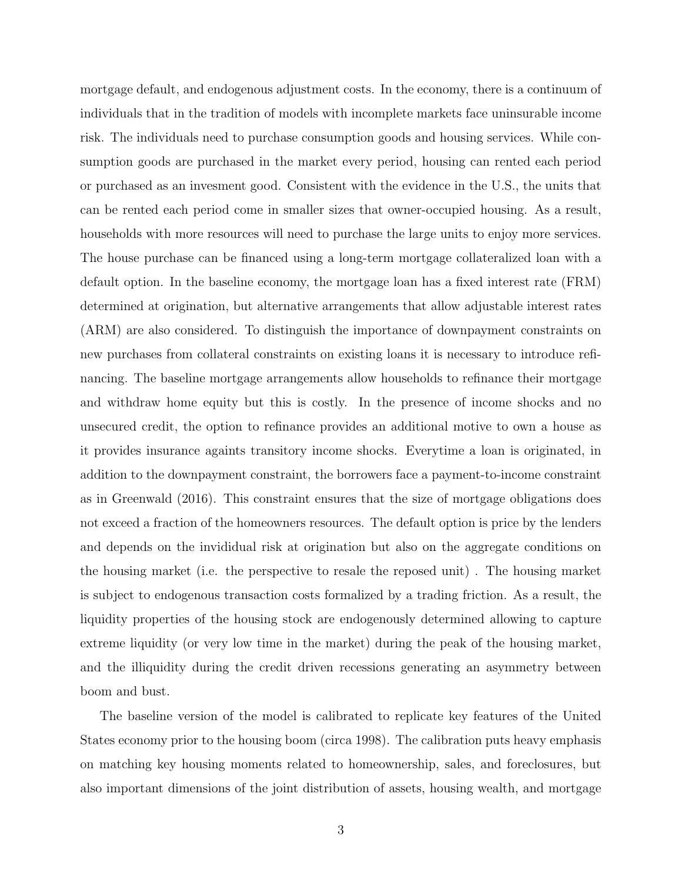mortgage default, and endogenous adjustment costs. In the economy, there is a continuum of individuals that in the tradition of models with incomplete markets face uninsurable income risk. The individuals need to purchase consumption goods and housing services. While consumption goods are purchased in the market every period, housing can rented each period or purchased as an invesment good. Consistent with the evidence in the U.S., the units that can be rented each period come in smaller sizes that owner-occupied housing. As a result, households with more resources will need to purchase the large units to enjoy more services. The house purchase can be financed using a long-term mortgage collateralized loan with a default option. In the baseline economy, the mortgage loan has a fixed interest rate (FRM) determined at origination, but alternative arrangements that allow adjustable interest rates (ARM) are also considered. To distinguish the importance of downpayment constraints on new purchases from collateral constraints on existing loans it is necessary to introduce refinancing. The baseline mortgage arrangements allow households to refinance their mortgage and withdraw home equity but this is costly. In the presence of income shocks and no unsecured credit, the option to refinance provides an additional motive to own a house as it provides insurance againts transitory income shocks. Everytime a loan is originated, in addition to the downpayment constraint, the borrowers face a payment-to-income constraint as in Greenwald (2016). This constraint ensures that the size of mortgage obligations does not exceed a fraction of the homeowners resources. The default option is price by the lenders and depends on the invididual risk at origination but also on the aggregate conditions on the housing market (i.e. the perspective to resale the reposed unit) . The housing market is subject to endogenous transaction costs formalized by a trading friction. As a result, the liquidity properties of the housing stock are endogenously determined allowing to capture extreme liquidity (or very low time in the market) during the peak of the housing market, and the illiquidity during the credit driven recessions generating an asymmetry between boom and bust.

The baseline version of the model is calibrated to replicate key features of the United States economy prior to the housing boom (circa 1998). The calibration puts heavy emphasis on matching key housing moments related to homeownership, sales, and foreclosures, but also important dimensions of the joint distribution of assets, housing wealth, and mortgage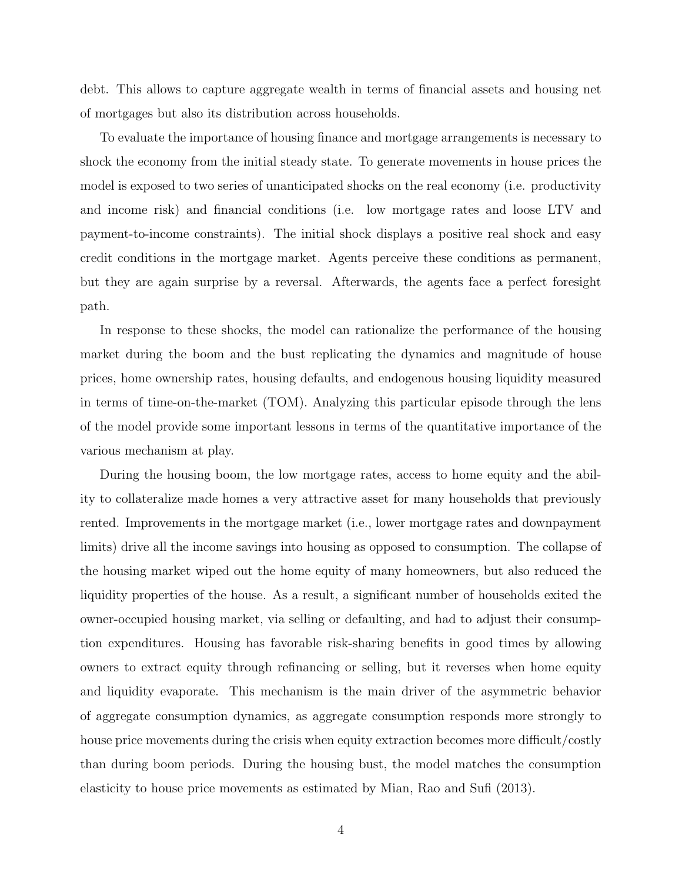debt. This allows to capture aggregate wealth in terms of financial assets and housing net of mortgages but also its distribution across households.

To evaluate the importance of housing finance and mortgage arrangements is necessary to shock the economy from the initial steady state. To generate movements in house prices the model is exposed to two series of unanticipated shocks on the real economy (i.e. productivity and income risk) and financial conditions (i.e. low mortgage rates and loose LTV and payment-to-income constraints). The initial shock displays a positive real shock and easy credit conditions in the mortgage market. Agents perceive these conditions as permanent, but they are again surprise by a reversal. Afterwards, the agents face a perfect foresight path.

In response to these shocks, the model can rationalize the performance of the housing market during the boom and the bust replicating the dynamics and magnitude of house prices, home ownership rates, housing defaults, and endogenous housing liquidity measured in terms of time-on-the-market (TOM). Analyzing this particular episode through the lens of the model provide some important lessons in terms of the quantitative importance of the various mechanism at play.

During the housing boom, the low mortgage rates, access to home equity and the ability to collateralize made homes a very attractive asset for many households that previously rented. Improvements in the mortgage market (i.e., lower mortgage rates and downpayment limits) drive all the income savings into housing as opposed to consumption. The collapse of the housing market wiped out the home equity of many homeowners, but also reduced the liquidity properties of the house. As a result, a significant number of households exited the owner-occupied housing market, via selling or defaulting, and had to adjust their consumption expenditures. Housing has favorable risk-sharing benefits in good times by allowing owners to extract equity through refinancing or selling, but it reverses when home equity and liquidity evaporate. This mechanism is the main driver of the asymmetric behavior of aggregate consumption dynamics, as aggregate consumption responds more strongly to house price movements during the crisis when equity extraction becomes more difficult/costly than during boom periods. During the housing bust, the model matches the consumption elasticity to house price movements as estimated by Mian, Rao and Sufi (2013).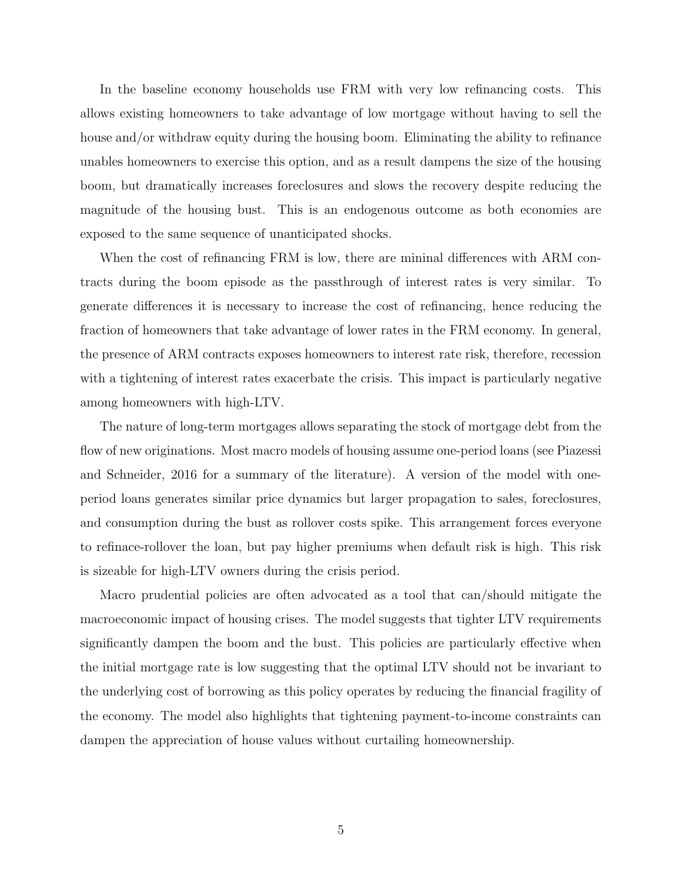In the baseline economy households use FRM with very low refinancing costs. This allows existing homeowners to take advantage of low mortgage without having to sell the house and/or withdraw equity during the housing boom. Eliminating the ability to refinance unables homeowners to exercise this option, and as a result dampens the size of the housing boom, but dramatically increases foreclosures and slows the recovery despite reducing the magnitude of the housing bust. This is an endogenous outcome as both economies are exposed to the same sequence of unanticipated shocks.

When the cost of refinancing FRM is low, there are mininal differences with ARM contracts during the boom episode as the passthrough of interest rates is very similar. To generate differences it is necessary to increase the cost of refinancing, hence reducing the fraction of homeowners that take advantage of lower rates in the FRM economy. In general, the presence of ARM contracts exposes homeowners to interest rate risk, therefore, recession with a tightening of interest rates exacerbate the crisis. This impact is particularly negative among homeowners with high-LTV.

The nature of long-term mortgages allows separating the stock of mortgage debt from the flow of new originations. Most macro models of housing assume one-period loans (see Piazessi and Schneider, 2016 for a summary of the literature). A version of the model with oneperiod loans generates similar price dynamics but larger propagation to sales, foreclosures, and consumption during the bust as rollover costs spike. This arrangement forces everyone to refinace-rollover the loan, but pay higher premiums when default risk is high. This risk is sizeable for high-LTV owners during the crisis period.

Macro prudential policies are often advocated as a tool that can/should mitigate the macroeconomic impact of housing crises. The model suggests that tighter LTV requirements significantly dampen the boom and the bust. This policies are particularly effective when the initial mortgage rate is low suggesting that the optimal LTV should not be invariant to the underlying cost of borrowing as this policy operates by reducing the financial fragility of the economy. The model also highlights that tightening payment-to-income constraints can dampen the appreciation of house values without curtailing homeownership.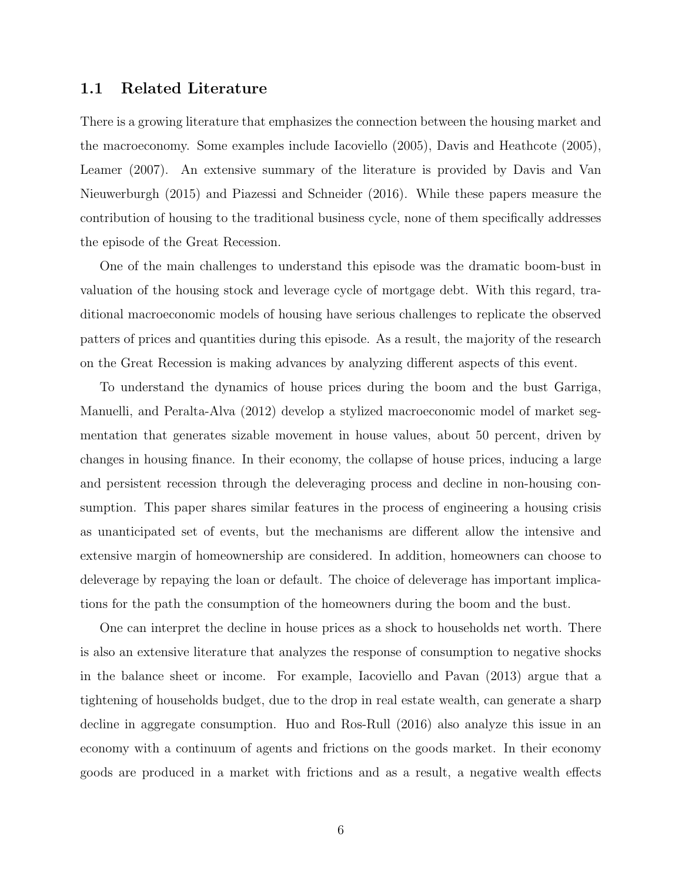#### 1.1 Related Literature

There is a growing literature that emphasizes the connection between the housing market and the macroeconomy. Some examples include Iacoviello (2005), Davis and Heathcote (2005), Leamer (2007). An extensive summary of the literature is provided by Davis and Van Nieuwerburgh (2015) and Piazessi and Schneider (2016). While these papers measure the contribution of housing to the traditional business cycle, none of them specifically addresses the episode of the Great Recession.

One of the main challenges to understand this episode was the dramatic boom-bust in valuation of the housing stock and leverage cycle of mortgage debt. With this regard, traditional macroeconomic models of housing have serious challenges to replicate the observed patters of prices and quantities during this episode. As a result, the majority of the research on the Great Recession is making advances by analyzing different aspects of this event.

To understand the dynamics of house prices during the boom and the bust Garriga, Manuelli, and Peralta-Alva (2012) develop a stylized macroeconomic model of market segmentation that generates sizable movement in house values, about 50 percent, driven by changes in housing finance. In their economy, the collapse of house prices, inducing a large and persistent recession through the deleveraging process and decline in non-housing consumption. This paper shares similar features in the process of engineering a housing crisis as unanticipated set of events, but the mechanisms are different allow the intensive and extensive margin of homeownership are considered. In addition, homeowners can choose to deleverage by repaying the loan or default. The choice of deleverage has important implications for the path the consumption of the homeowners during the boom and the bust.

One can interpret the decline in house prices as a shock to households net worth. There is also an extensive literature that analyzes the response of consumption to negative shocks in the balance sheet or income. For example, Iacoviello and Pavan (2013) argue that a tightening of households budget, due to the drop in real estate wealth, can generate a sharp decline in aggregate consumption. Huo and Ros-Rull (2016) also analyze this issue in an economy with a continuum of agents and frictions on the goods market. In their economy goods are produced in a market with frictions and as a result, a negative wealth effects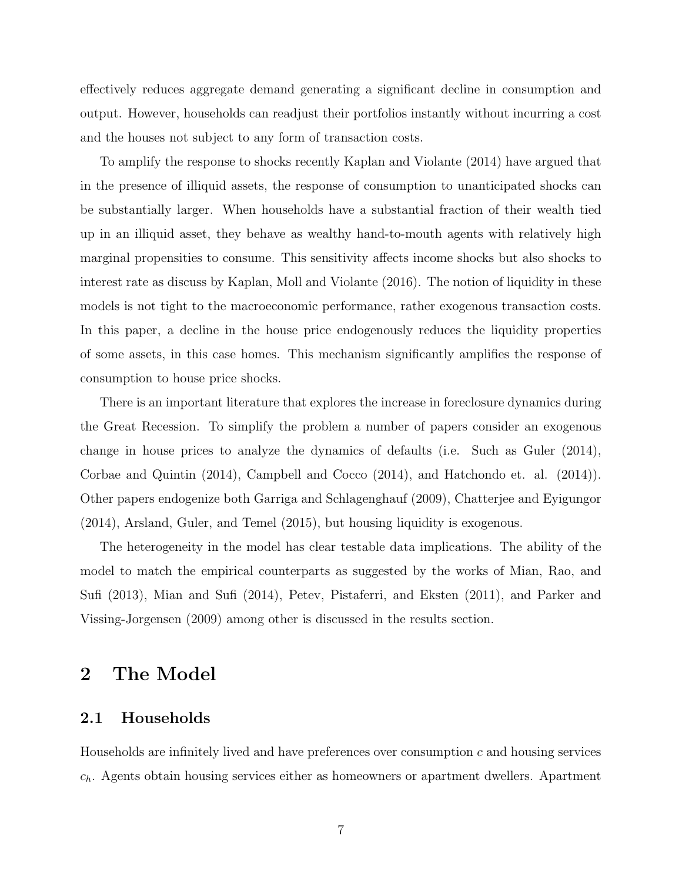effectively reduces aggregate demand generating a significant decline in consumption and output. However, households can readjust their portfolios instantly without incurring a cost and the houses not subject to any form of transaction costs.

To amplify the response to shocks recently Kaplan and Violante (2014) have argued that in the presence of illiquid assets, the response of consumption to unanticipated shocks can be substantially larger. When households have a substantial fraction of their wealth tied up in an illiquid asset, they behave as wealthy hand-to-mouth agents with relatively high marginal propensities to consume. This sensitivity affects income shocks but also shocks to interest rate as discuss by Kaplan, Moll and Violante (2016). The notion of liquidity in these models is not tight to the macroeconomic performance, rather exogenous transaction costs. In this paper, a decline in the house price endogenously reduces the liquidity properties of some assets, in this case homes. This mechanism significantly amplifies the response of consumption to house price shocks.

There is an important literature that explores the increase in foreclosure dynamics during the Great Recession. To simplify the problem a number of papers consider an exogenous change in house prices to analyze the dynamics of defaults (i.e. Such as Guler (2014), Corbae and Quintin (2014), Campbell and Cocco (2014), and Hatchondo et. al. (2014)). Other papers endogenize both Garriga and Schlagenghauf (2009), Chatterjee and Eyigungor (2014), Arsland, Guler, and Temel (2015), but housing liquidity is exogenous.

The heterogeneity in the model has clear testable data implications. The ability of the model to match the empirical counterparts as suggested by the works of Mian, Rao, and Sufi (2013), Mian and Sufi (2014), Petev, Pistaferri, and Eksten (2011), and Parker and Vissing-Jorgensen (2009) among other is discussed in the results section.

## 2 The Model

#### 2.1 Households

Households are infinitely lived and have preferences over consumption  $c$  and housing services  $c_h$ . Agents obtain housing services either as homeowners or apartment dwellers. Apartment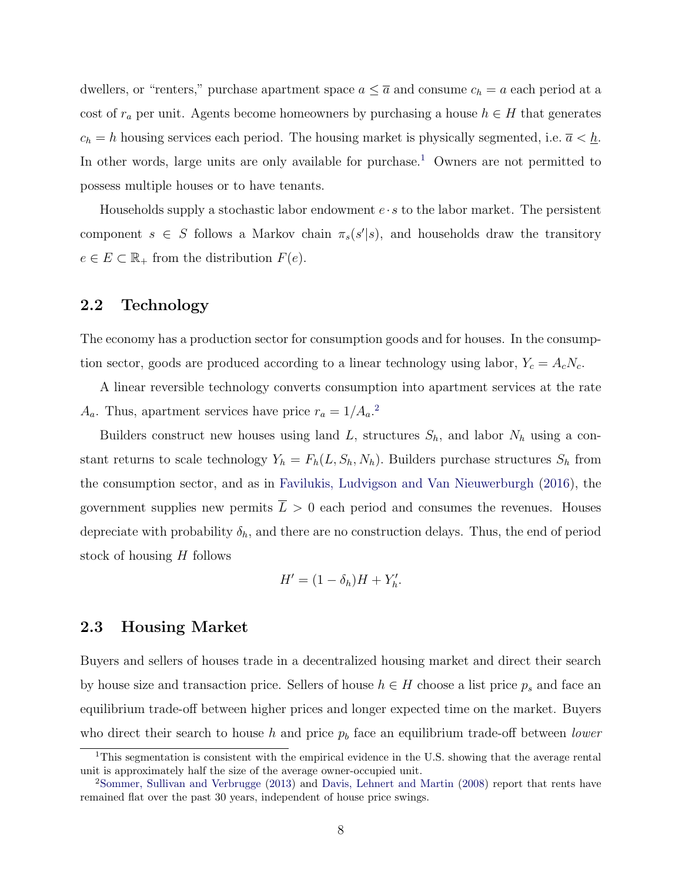dwellers, or "renters," purchase apartment space  $a \leq \overline{a}$  and consume  $c_h = a$  each period at a cost of  $r_a$  per unit. Agents become homeowners by purchasing a house  $h \in H$  that generates  $c_h = h$  housing services each period. The housing market is physically segmented, i.e.  $\overline{a} < \underline{h}$ . In other words, large units are only available for purchase.<sup>[1](#page-7-0)</sup> Owners are not permitted to possess multiple houses or to have tenants.

Households supply a stochastic labor endowment  $e \cdot s$  to the labor market. The persistent component  $s \in S$  follows a Markov chain  $\pi_s(s'|s)$ , and households draw the transitory  $e \in E \subset \mathbb{R}_+$  from the distribution  $F(e)$ .

#### 2.2 Technology

The economy has a production sector for consumption goods and for houses. In the consumption sector, goods are produced according to a linear technology using labor,  $Y_c = A_c N_c$ .

A linear reversible technology converts consumption into apartment services at the rate  $A_a$ . Thus, apartment services have price  $r_a = 1/A_a$ <sup>[2](#page-7-1)</sup>.

Builders construct new houses using land L, structures  $S_h$ , and labor  $N_h$  using a constant returns to scale technology  $Y_h = F_h(L, S_h, N_h)$ . Builders purchase structures  $S_h$  from the consumption sector, and as in [Favilukis, Ludvigson and Van Nieuwerburgh](#page-30-0) [\(2016\)](#page-30-0), the government supplies new permits  $\overline{L} > 0$  each period and consumes the revenues. Houses depreciate with probability  $\delta_h$ , and there are no construction delays. Thus, the end of period stock of housing H follows

$$
H' = (1 - \delta_h)H + Y'_h.
$$

#### 2.3 Housing Market

Buyers and sellers of houses trade in a decentralized housing market and direct their search by house size and transaction price. Sellers of house  $h \in H$  choose a list price  $p_s$  and face an equilibrium trade-off between higher prices and longer expected time on the market. Buyers who direct their search to house h and price  $p<sub>b</sub>$  face an equilibrium trade-off between lower

<span id="page-7-0"></span><sup>&</sup>lt;sup>1</sup>This segmentation is consistent with the empirical evidence in the U.S. showing that the average rental unit is approximately half the size of the average owner-occupied unit.

<span id="page-7-1"></span><sup>2</sup>[Sommer, Sullivan and Verbrugge](#page-31-0) [\(2013\)](#page-31-0) and [Davis, Lehnert and Martin](#page-30-1) [\(2008\)](#page-30-1) report that rents have remained flat over the past 30 years, independent of house price swings.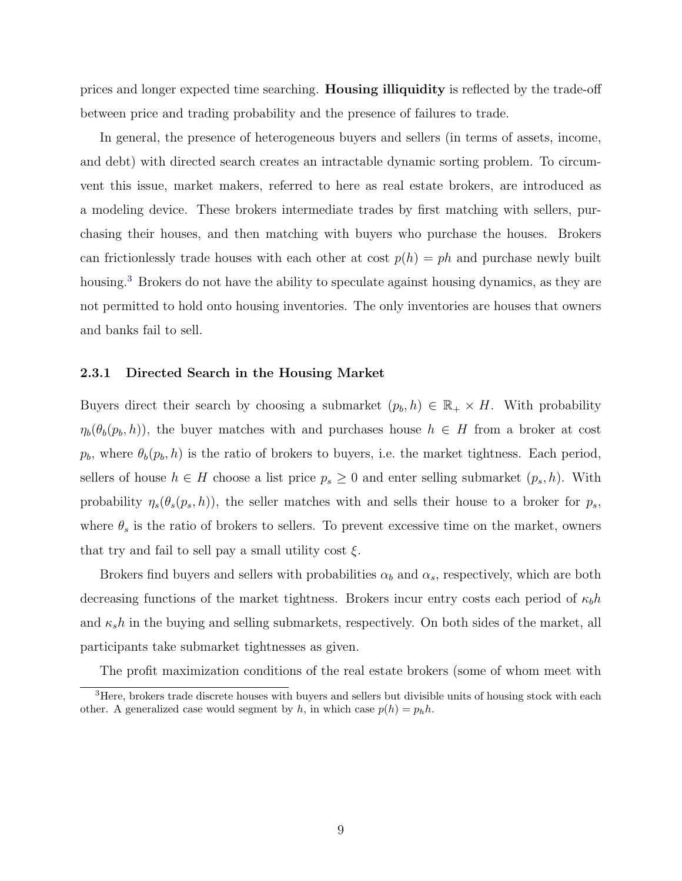prices and longer expected time searching. Housing illiquidity is reflected by the trade-off between price and trading probability and the presence of failures to trade.

In general, the presence of heterogeneous buyers and sellers (in terms of assets, income, and debt) with directed search creates an intractable dynamic sorting problem. To circumvent this issue, market makers, referred to here as real estate brokers, are introduced as a modeling device. These brokers intermediate trades by first matching with sellers, purchasing their houses, and then matching with buyers who purchase the houses. Brokers can frictionlessly trade houses with each other at cost  $p(h) = ph$  and purchase newly built housing.<sup>[3](#page-8-0)</sup> Brokers do not have the ability to speculate against housing dynamics, as they are not permitted to hold onto housing inventories. The only inventories are houses that owners and banks fail to sell.

#### 2.3.1 Directed Search in the Housing Market

Buyers direct their search by choosing a submarket  $(p_b, h) \in \mathbb{R}_+ \times H$ . With probability  $\eta_b(\theta_b(p_b, h))$ , the buyer matches with and purchases house  $h \in H$  from a broker at cost  $p_b$ , where  $\theta_b(p_b, h)$  is the ratio of brokers to buyers, i.e. the market tightness. Each period, sellers of house  $h \in H$  choose a list price  $p_s \geq 0$  and enter selling submarket  $(p_s, h)$ . With probability  $\eta_s(\theta_s(p_s, h))$ , the seller matches with and sells their house to a broker for  $p_s$ , where  $\theta_s$  is the ratio of brokers to sellers. To prevent excessive time on the market, owners that try and fail to sell pay a small utility cost  $\xi$ .

Brokers find buyers and sellers with probabilities  $\alpha_b$  and  $\alpha_s$ , respectively, which are both decreasing functions of the market tightness. Brokers incur entry costs each period of  $\kappa_b h$ and  $\kappa_s h$  in the buying and selling submarkets, respectively. On both sides of the market, all participants take submarket tightnesses as given.

<span id="page-8-0"></span>The profit maximization conditions of the real estate brokers (some of whom meet with

<sup>&</sup>lt;sup>3</sup>Here, brokers trade discrete houses with buyers and sellers but divisible units of housing stock with each other. A generalized case would segment by h, in which case  $p(h) = p_h h$ .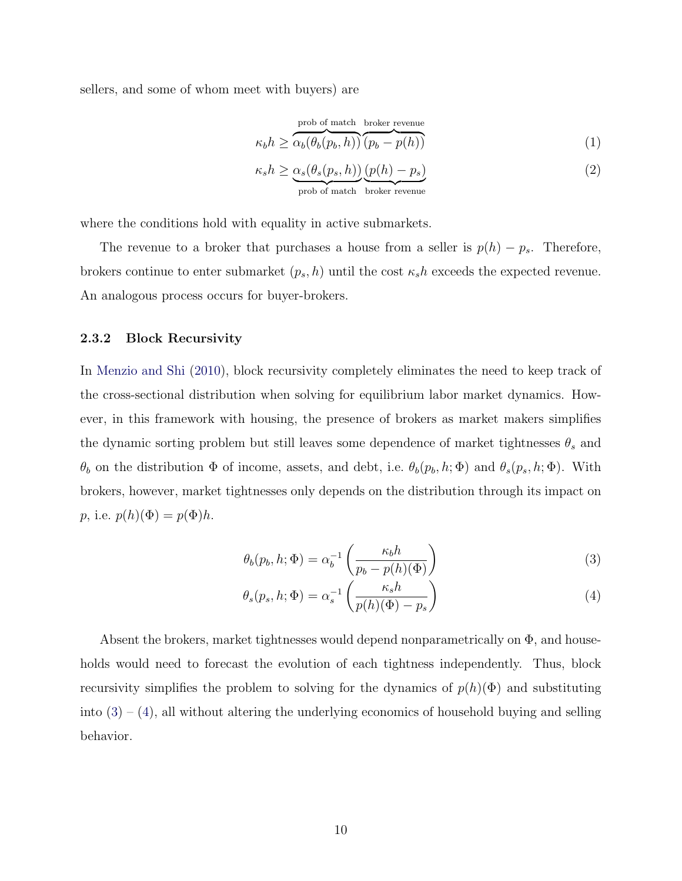sellers, and some of whom meet with buyers) are

$$
\kappa_b h \ge \overbrace{\alpha_b(\theta_b(p_b, h))}^{\text{prob of match broken revenue}}(1)
$$

$$
\kappa_s h \ge \underbrace{\alpha_s(\theta_s(p_s, h))}_{\text{prob of match}} \underbrace{(p(h) - p_s)}_{\text{broken revenue}} \tag{2}
$$

where the conditions hold with equality in active submarkets.

The revenue to a broker that purchases a house from a seller is  $p(h) - p_s$ . Therefore, brokers continue to enter submarket  $(p_s, h)$  until the cost  $\kappa_s h$  exceeds the expected revenue. An analogous process occurs for buyer-brokers.

#### 2.3.2 Block Recursivity

In [Menzio and Shi](#page-31-1) [\(2010\)](#page-31-1), block recursivity completely eliminates the need to keep track of the cross-sectional distribution when solving for equilibrium labor market dynamics. However, in this framework with housing, the presence of brokers as market makers simplifies the dynamic sorting problem but still leaves some dependence of market tightnesses  $\theta_s$  and  $\theta_b$  on the distribution  $\Phi$  of income, assets, and debt, i.e.  $\theta_b(p_b, h; \Phi)$  and  $\theta_s(p_s, h; \Phi)$ . With brokers, however, market tightnesses only depends on the distribution through its impact on p, i.e.  $p(h)(\Phi) = p(\Phi)h$ .

<span id="page-9-0"></span>
$$
\theta_b(p_b, h; \Phi) = \alpha_b^{-1} \left( \frac{\kappa_b h}{p_b - p(h)(\Phi)} \right)
$$
\n(3)

<span id="page-9-1"></span>
$$
\theta_s(p_s, h; \Phi) = \alpha_s^{-1} \left( \frac{\kappa_s h}{p(h)(\Phi) - p_s} \right) \tag{4}
$$

Absent the brokers, market tightnesses would depend nonparametrically on  $\Phi$ , and households would need to forecast the evolution of each tightness independently. Thus, block recursivity simplifies the problem to solving for the dynamics of  $p(h)(\Phi)$  and substituting into  $(3) - (4)$  $(3) - (4)$  $(3) - (4)$ , all without altering the underlying economics of household buying and selling behavior.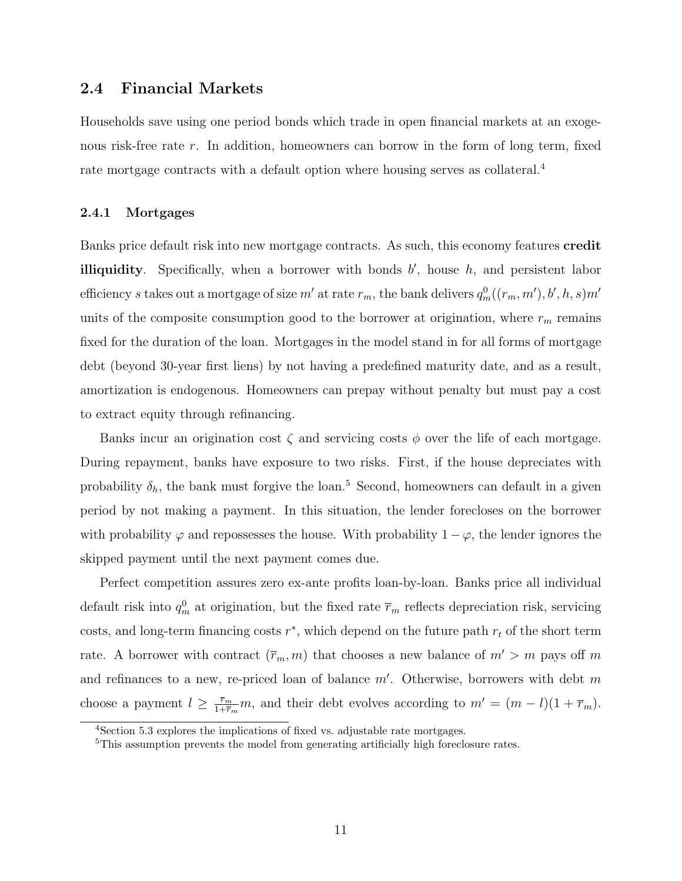### 2.4 Financial Markets

Households save using one period bonds which trade in open financial markets at an exogenous risk-free rate r. In addition, homeowners can borrow in the form of long term, fixed rate mortgage contracts with a default option where housing serves as collateral.<sup>[4](#page-10-0)</sup>

#### 2.4.1 Mortgages

Banks price default risk into new mortgage contracts. As such, this economy features credit illiquidity. Specifically, when a borrower with bonds  $b'$ , house  $h$ , and persistent labor efficiency s takes out a mortgage of size  $m'$  at rate  $r_m$ , the bank delivers  $q_m^0((r_m, m'), b', h, s)m'$ units of the composite consumption good to the borrower at origination, where  $r_m$  remains fixed for the duration of the loan. Mortgages in the model stand in for all forms of mortgage debt (beyond 30-year first liens) by not having a predefined maturity date, and as a result, amortization is endogenous. Homeowners can prepay without penalty but must pay a cost to extract equity through refinancing.

Banks incur an origination cost  $\zeta$  and servicing costs  $\phi$  over the life of each mortgage. During repayment, banks have exposure to two risks. First, if the house depreciates with probability  $\delta_h$ , the bank must forgive the loan.<sup>[5](#page-10-1)</sup> Second, homeowners can default in a given period by not making a payment. In this situation, the lender forecloses on the borrower with probability  $\varphi$  and repossesses the house. With probability  $1 - \varphi$ , the lender ignores the skipped payment until the next payment comes due.

Perfect competition assures zero ex-ante profits loan-by-loan. Banks price all individual default risk into  $q_m^0$  at origination, but the fixed rate  $\bar{r}_m$  reflects depreciation risk, servicing costs, and long-term financing costs  $r^*$ , which depend on the future path  $r_t$  of the short term rate. A borrower with contract  $(\bar{r}_m, m)$  that chooses a new balance of  $m' > m$  pays off m and refinances to a new, re-priced loan of balance  $m'$ . Otherwise, borrowers with debt m choose a payment  $l \geq \frac{\bar{r}_m}{1+\bar{r}}$  $\frac{\bar{r}_m}{1+\bar{r}_m}m$ , and their debt evolves according to  $m' = (m - l)(1 + \bar{r}_m)$ .

<span id="page-10-0"></span><sup>4</sup>Section [5.3](#page-23-0) explores the implications of fixed vs. adjustable rate mortgages.

<span id="page-10-1"></span><sup>&</sup>lt;sup>5</sup>This assumption prevents the model from generating artificially high foreclosure rates.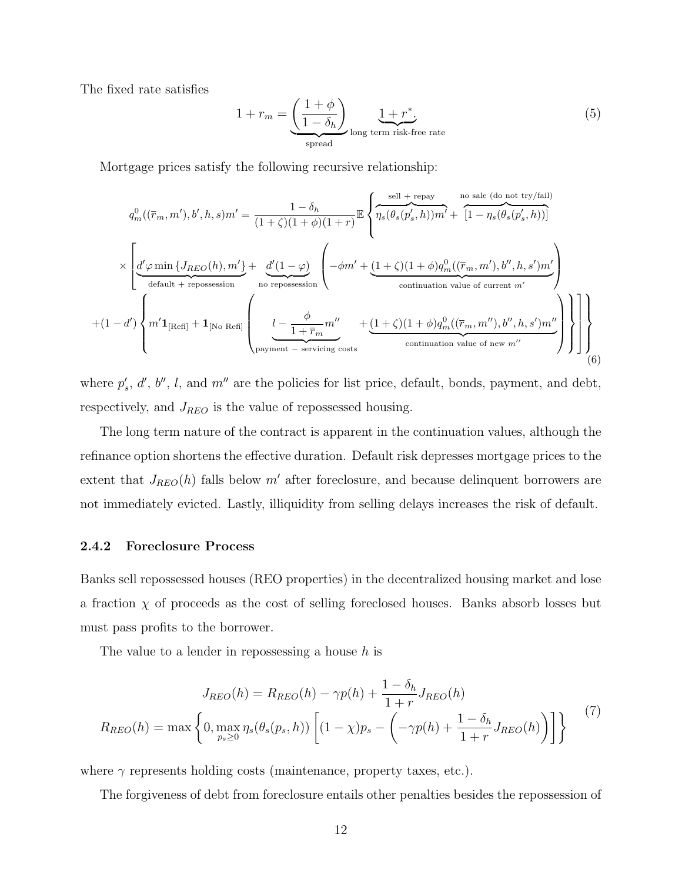The fixed rate satisfies

$$
1 + r_m = \underbrace{\left(\frac{1+\phi}{1-\delta_h}\right)}_{\text{spread}} \underbrace{1+r^*}_{\text{time risk-free rate}}.
$$
 (5)

Mortgage prices satisfy the following recursive relationship:

$$
q_m^0((\overline{r}_m, m'), b', h, s)m' = \frac{1 - \delta_h}{(1 + \zeta)(1 + \phi)(1 + r)} \mathbb{E} \left\{ \overbrace{\eta_s(\theta_s(p'_s, h))m'}^{\text{self + repay}} + \overbrace{\left[1 - \eta_s(\theta_s(p'_s, h))\right]}^{\text{no sale (do not try/fail)}} \right\}
$$

$$
\times \left[ \underbrace{d'\varphi \min \{J_{REO}(h), m'\}}_{\text{default + repossession}} + \underbrace{d'(1 - \varphi)}_{\text{no repossession}} \left( -\phi m' + \underbrace{(1 + \zeta)(1 + \phi)q_m^0((\overline{r}_m, m'), b'', h, s')m'}_{\text{continuation value of current } m'} \right)
$$

$$
+ (1 - d') \left\{ m' \mathbf{1}_{[\text{Refl}]} + \mathbf{1}_{[\text{No Ref]}} \left( \underbrace{l - \frac{\phi}{1 + \overline{r}_m} m''}_{\text{payment - serviceing costs}} + \underbrace{(1 + \zeta)(1 + \phi)q_m^0((\overline{r}_m, m''), b'', h, s')m''}_{\text{continuation value of new } m''} \right) \right\} \right\} \right\}
$$
(6)

where  $p'_s$ , d', b'', l, and  $m''$  are the policies for list price, default, bonds, payment, and debt, respectively, and  $J_{REO}$  is the value of repossessed housing.

The long term nature of the contract is apparent in the continuation values, although the refinance option shortens the effective duration. Default risk depresses mortgage prices to the extent that  $J_{REO}(h)$  falls below m' after foreclosure, and because delinquent borrowers are not immediately evicted. Lastly, illiquidity from selling delays increases the risk of default.

#### 2.4.2 Foreclosure Process

Banks sell repossessed houses (REO properties) in the decentralized housing market and lose a fraction  $\chi$  of proceeds as the cost of selling foreclosed houses. Banks absorb losses but must pass profits to the borrower.

The value to a lender in repossessing a house  $h$  is

$$
J_{REO}(h) = R_{REO}(h) - \gamma p(h) + \frac{1 - \delta_h}{1 + r} J_{REO}(h)
$$

$$
R_{REO}(h) = \max \left\{ 0, \max_{p_s \ge 0} \eta_s(\theta_s(p_s, h)) \left[ (1 - \chi)p_s - \left( -\gamma p(h) + \frac{1 - \delta_h}{1 + r} J_{REO}(h) \right) \right] \right\}
$$
(7)

where  $\gamma$  represents holding costs (maintenance, property taxes, etc.).

The forgiveness of debt from foreclosure entails other penalties besides the repossession of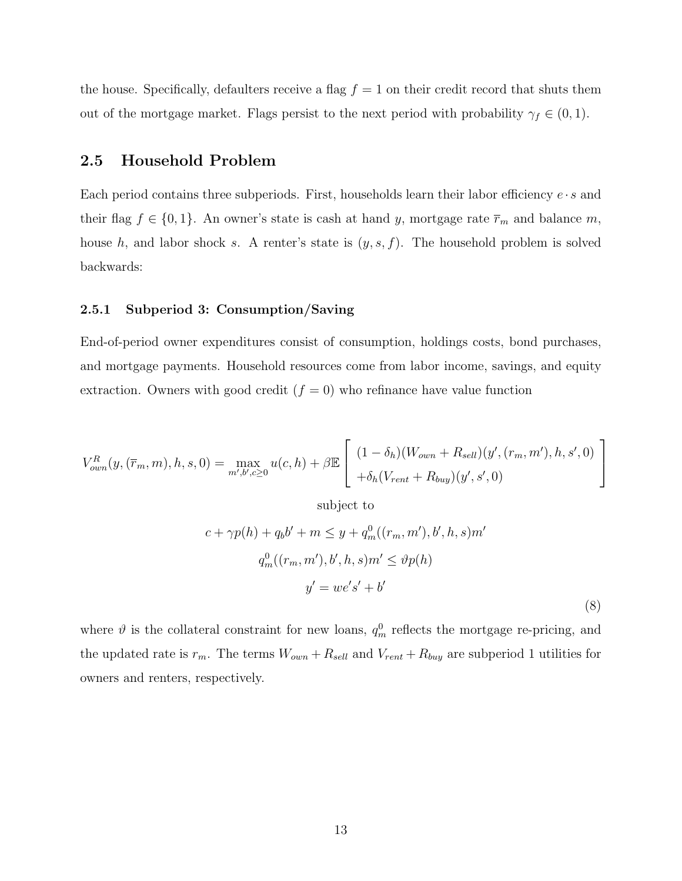the house. Specifically, defaulters receive a flag  $f = 1$  on their credit record that shuts them out of the mortgage market. Flags persist to the next period with probability  $\gamma_f \in (0,1)$ .

### 2.5 Household Problem

Each period contains three subperiods. First, households learn their labor efficiency  $e \cdot s$  and their flag  $f \in \{0, 1\}$ . An owner's state is cash at hand y, mortgage rate  $\overline{r}_m$  and balance m, house  $h$ , and labor shock s. A renter's state is  $(y, s, f)$ . The household problem is solved backwards:

#### 2.5.1 Subperiod 3: Consumption/Saving

End-of-period owner expenditures consist of consumption, holdings costs, bond purchases, and mortgage payments. Household resources come from labor income, savings, and equity extraction. Owners with good credit  $(f = 0)$  who refinance have value function

$$
V_{own}^{R}(y, (\overline{r}_{m}, m), h, s, 0) = \max_{m', b', c \ge 0} u(c, h) + \beta \mathbb{E}\left[\frac{(1 - \delta_{h})(W_{own} + R_{sell})(y', (r_{m}, m'), h, s', 0)}{+\delta_{h}(V_{rent} + R_{buy})(y', s', 0)}\right]
$$

subject to

$$
c + \gamma p(h) + q_b b' + m \leq y + q_m^0((r_m, m'), b', h, s)m'
$$
  

$$
q_m^0((r_m, m'), b', h, s)m' \leq \vartheta p(h)
$$
  

$$
y' = we's' + b'
$$
 (8)

where  $\vartheta$  is the collateral constraint for new loans,  $q_m^0$  reflects the mortgage re-pricing, and the updated rate is  $r_m$ . The terms  $W_{own} + R_{sell}$  and  $V_{rent} + R_{buy}$  are subperiod 1 utilities for owners and renters, respectively.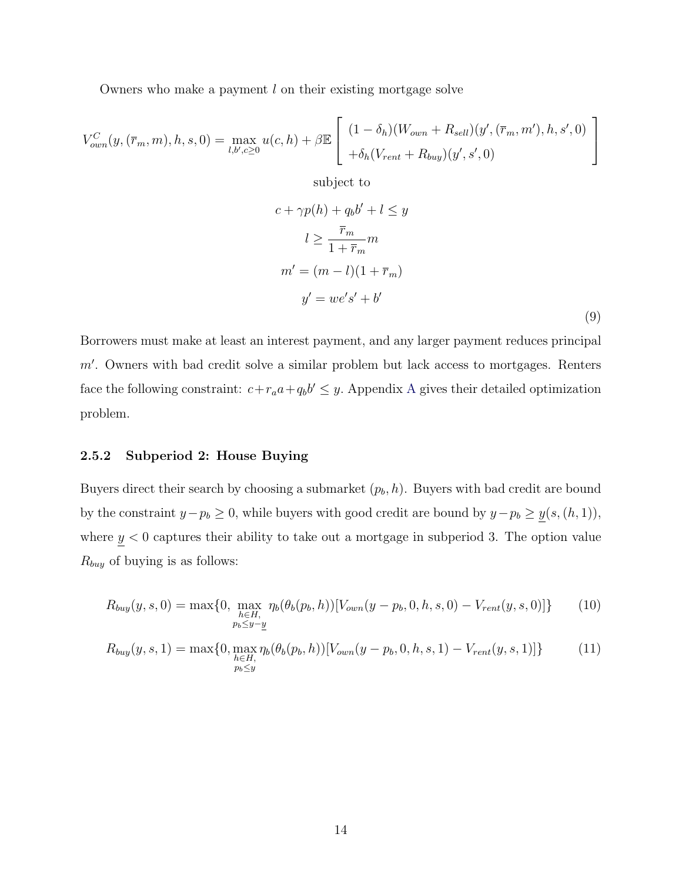Owners who make a payment l on their existing mortgage solve

$$
V_{own}^{C}(y, (\overline{r}_m, m), h, s, 0) = \max_{l, b', c \ge 0} u(c, h) + \beta \mathbb{E}\left[\begin{array}{l} (1 - \delta_h)(W_{own} + R_{sell})(y', (\overline{r}_m, m'), h, s', 0) \\ + \delta_h(V_{rent} + R_{buy})(y', s', 0) \end{array}\right]
$$

subject to

$$
c + \gamma p(h) + q_b b' + l \leq y
$$
  
\n
$$
l \geq \frac{\overline{r}_m}{1 + \overline{r}_m} m
$$
  
\n
$$
m' = (m - l)(1 + \overline{r}_m)
$$
  
\n
$$
y' = we's' + b'
$$
\n(9)

Borrowers must make at least an interest payment, and any larger payment reduces principal  $m'$ . Owners with bad credit solve a similar problem but lack access to mortgages. Renters face the following constraint:  $c+r_a a+q_b b' \leq y$ . [A](#page-32-0)ppendix A gives their detailed optimization problem.

#### 2.5.2 Subperiod 2: House Buying

Buyers direct their search by choosing a submarket  $(p_b, h)$ . Buyers with bad credit are bound by the constraint  $y-p_b \ge 0$ , while buyers with good credit are bound by  $y-p_b \ge \underline{y}(s,(h,1)),$ where  $y < 0$  captures their ability to take out a mortgage in subperiod 3. The option value  $R_{buy}$  of buying is as follows:

$$
R_{buy}(y,s,0) = \max\{0, \max_{\substack{h \in H, \\ p_b \le y-y}} \eta_b(\theta_b(p_b,h))[V_{own}(y-p_b,0,h,s,0) - V_{rent}(y,s,0)]\}
$$
(10)

$$
R_{buy}(y,s,1) = \max\{0, \max_{\substack{h \in H, \\ p_b \le y}} \eta_b(\theta_b(p_b,h))[V_{own}(y-p_b,0,h,s,1) - V_{rent}(y,s,1)]\}
$$
(11)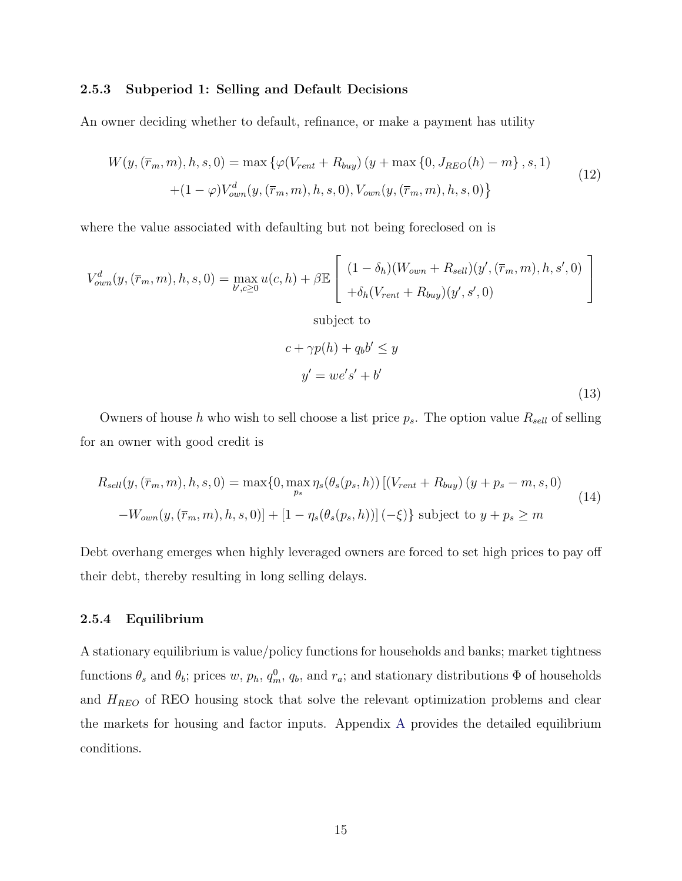#### 2.5.3 Subperiod 1: Selling and Default Decisions

An owner deciding whether to default, refinance, or make a payment has utility

$$
W(y, (\overline{r}_m, m), h, s, 0) = \max \{ \varphi(V_{rent} + R_{buy}) (y + \max \{0, J_{REO}(h) - m\}, s, 1) + (1 - \varphi) V_{own}^d(y, (\overline{r}_m, m), h, s, 0), V_{own}(y, (\overline{r}_m, m), h, s, 0) \}
$$
\n(12)

where the value associated with defaulting but not being foreclosed on is

$$
V_{own}^{d}(y, (\overline{r}_{m}, m), h, s, 0) = \max_{b', c \ge 0} u(c, h) + \beta \mathbb{E}\left[\begin{array}{l} (1 - \delta_{h})(W_{own} + R_{sell})(y', (\overline{r}_{m}, m), h, s', 0) \\ + \delta_{h}(V_{rent} + R_{buy})(y', s', 0) \end{array}\right]
$$

subject to

$$
c + \gamma p(h) + q_b b' \le y
$$
  

$$
y' = we's' + b'
$$
 (13)

Owners of house h who wish to sell choose a list price  $p_s$ . The option value  $R_{sell}$  of selling for an owner with good credit is

$$
R_{sell}(y, (\bar{r}_m, m), h, s, 0) = \max\{0, \max_{p_s} \eta_s(\theta_s(p_s, h)) \left[ (V_{rent} + R_{buy}) (y + p_s - m, s, 0) - W_{own}(y, (\bar{r}_m, m), h, s, 0) \right] + [1 - \eta_s(\theta_s(p_s, h))] (-\xi) \} \text{ subject to } y + p_s \ge m
$$
\n(14)

Debt overhang emerges when highly leveraged owners are forced to set high prices to pay off their debt, thereby resulting in long selling delays.

#### <span id="page-14-0"></span>2.5.4 Equilibrium

A stationary equilibrium is value/policy functions for households and banks; market tightness functions  $\theta_s$  and  $\theta_b$ ; prices w,  $p_h$ ,  $q_m^0$ ,  $q_b$ , and  $r_a$ ; and stationary distributions  $\Phi$  of households and  $H_{REO}$  of REO housing stock that solve the relevant optimization problems and clear the markets for housing and factor inputs. Appendix [A](#page-32-0) provides the detailed equilibrium conditions.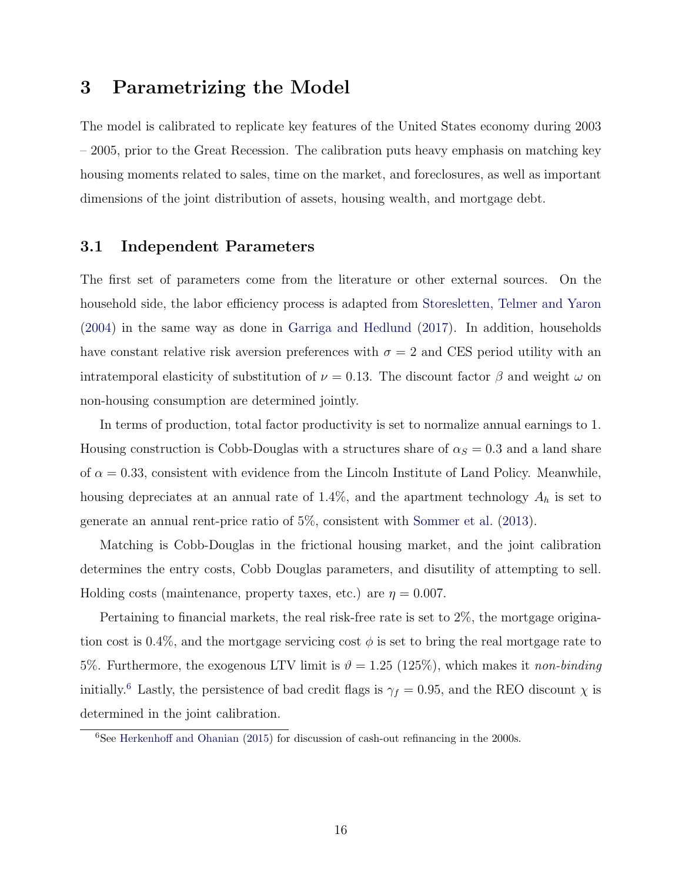## <span id="page-15-1"></span>3 Parametrizing the Model

The model is calibrated to replicate key features of the United States economy during 2003 – 2005, prior to the Great Recession. The calibration puts heavy emphasis on matching key housing moments related to sales, time on the market, and foreclosures, as well as important dimensions of the joint distribution of assets, housing wealth, and mortgage debt.

#### 3.1 Independent Parameters

The first set of parameters come from the literature or other external sources. On the household side, the labor efficiency process is adapted from [Storesletten, Telmer and Yaron](#page-31-2) [\(2004\)](#page-31-2) in the same way as done in [Garriga and Hedlund](#page-31-3) [\(2017\)](#page-31-3). In addition, households have constant relative risk aversion preferences with  $\sigma = 2$  and CES period utility with an intratemporal elasticity of substitution of  $\nu = 0.13$ . The discount factor  $\beta$  and weight  $\omega$  on non-housing consumption are determined jointly.

In terms of production, total factor productivity is set to normalize annual earnings to 1. Housing construction is Cobb-Douglas with a structures share of  $\alpha_S = 0.3$  and a land share of  $\alpha = 0.33$ , consistent with evidence from the Lincoln Institute of Land Policy. Meanwhile, housing depreciates at an annual rate of 1.4%, and the apartment technology  $A_h$  is set to generate an annual rent-price ratio of 5%, consistent with [Sommer et al.](#page-31-0) [\(2013\)](#page-31-0).

Matching is Cobb-Douglas in the frictional housing market, and the joint calibration determines the entry costs, Cobb Douglas parameters, and disutility of attempting to sell. Holding costs (maintenance, property taxes, etc.) are  $\eta = 0.007$ .

Pertaining to financial markets, the real risk-free rate is set to 2%, the mortgage origination cost is 0.4%, and the mortgage servicing cost  $\phi$  is set to bring the real mortgage rate to 5%. Furthermore, the exogenous LTV limit is  $\vartheta = 1.25$  (125%), which makes it non-binding initially.<sup>[6](#page-15-0)</sup> Lastly, the persistence of bad credit flags is  $\gamma_f = 0.95$ , and the REO discount  $\chi$  is determined in the joint calibration.

<span id="page-15-0"></span> $6$ See [Herkenhoff and Ohanian](#page-31-4) [\(2015\)](#page-31-4) for discussion of cash-out refinancing in the 2000s.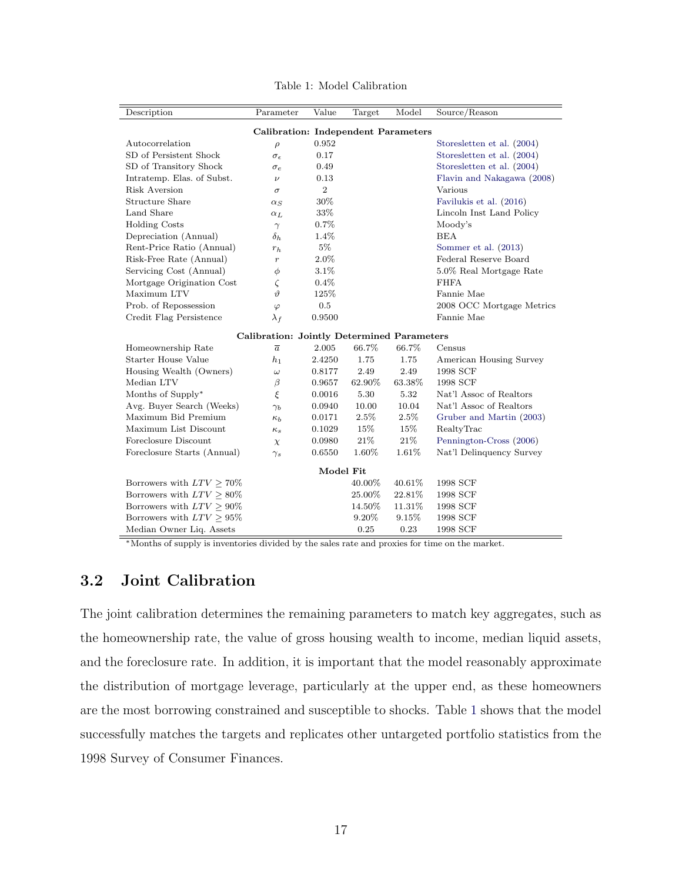<span id="page-16-0"></span>

| Description                                       | Parameter           | Value          | Target | Model    | Source/Reason              |  |  |  |  |  |
|---------------------------------------------------|---------------------|----------------|--------|----------|----------------------------|--|--|--|--|--|
| <b>Calibration: Independent Parameters</b>        |                     |                |        |          |                            |  |  |  |  |  |
| Autocorrelation                                   | $\rho$              | 0.952          |        |          | Storesletten et al. (2004) |  |  |  |  |  |
| SD of Persistent Shock                            | $\sigma_{\epsilon}$ | 0.17           |        |          | Storesletten et al. (2004) |  |  |  |  |  |
| SD of Transitory Shock                            | $\sigma_e$          | 0.49           |        |          | Storesletten et al. (2004) |  |  |  |  |  |
| Intratemp. Elas. of Subst.                        | $\boldsymbol{\nu}$  | 0.13           |        |          | Flavin and Nakagawa (2008) |  |  |  |  |  |
| Risk Aversion                                     | $\sigma$            | $\overline{2}$ |        |          | Various                    |  |  |  |  |  |
| Structure Share                                   | $\alpha_S$          | 30%            |        |          | Favilukis et al. (2016)    |  |  |  |  |  |
| Land Share                                        | $\alpha_L$          | 33%            |        |          | Lincoln Inst Land Policy   |  |  |  |  |  |
| <b>Holding Costs</b>                              | $\gamma$            | 0.7%           |        |          | Moody's                    |  |  |  |  |  |
| Depreciation (Annual)                             | $\delta_h$          | 1.4%           |        |          | <b>BEA</b>                 |  |  |  |  |  |
| Rent-Price Ratio (Annual)                         | $r_h$               | $5\%$          |        |          | Sommer et al. (2013)       |  |  |  |  |  |
| Risk-Free Rate (Annual)                           | $\boldsymbol{r}$    | 2.0%           |        |          | Federal Reserve Board      |  |  |  |  |  |
| Servicing Cost (Annual)                           | φ                   | 3.1%           |        |          | 5.0% Real Mortgage Rate    |  |  |  |  |  |
| Mortgage Origination Cost                         | ζ                   | 0.4%           |        |          | <b>FHFA</b>                |  |  |  |  |  |
| Maximum LTV                                       | 1I                  | 125\%          |        |          | Fannie Mae                 |  |  |  |  |  |
| Prob. of Repossession                             | $\varphi$           | 0.5            |        |          | 2008 OCC Mortgage Metrics  |  |  |  |  |  |
| Credit Flag Persistence                           | $\lambda_f$         | 0.9500         |        |          | Fannie Mae                 |  |  |  |  |  |
| <b>Calibration: Jointly Determined Parameters</b> |                     |                |        |          |                            |  |  |  |  |  |
| Homeownership Rate                                | $\overline{a}$      | 2.005          | 66.7%  | 66.7%    | Census                     |  |  |  |  |  |
| <b>Starter House Value</b>                        | $h_1$               | 2.4250         | 1.75   | 1.75     | American Housing Survey    |  |  |  |  |  |
| Housing Wealth (Owners)                           | $\omega$            | 0.8177         | 2.49   | 2.49     | 1998 SCF                   |  |  |  |  |  |
| Median LTV                                        | β                   | 0.9657         | 62.90% | 63.38%   | 1998 SCF                   |  |  |  |  |  |
| Months of Supply*                                 | ξ                   | 0.0016         | 5.30   | $5.32\,$ | Nat'l Assoc of Realtors    |  |  |  |  |  |
| Avg. Buyer Search (Weeks)                         | $\gamma_b$          | 0.0940         | 10.00  | 10.04    | Nat'l Assoc of Realtors    |  |  |  |  |  |
| Maximum Bid Premium                               | $\kappa_b$          | 0.0171         | 2.5%   | $2.5\%$  | Gruber and Martin (2003)   |  |  |  |  |  |
| Maximum List Discount                             | $\kappa_s$          | 0.1029         | 15%    | 15%      | RealtyTrac                 |  |  |  |  |  |
| Foreclosure Discount                              | $\chi$              | 0.0980         | 21\%   | 21\%     | Pennington-Cross (2006)    |  |  |  |  |  |
| Foreclosure Starts (Annual)                       | $\gamma_s$          | 0.6550         | 1.60%  | 1.61%    | Nat'l Delinquency Survey   |  |  |  |  |  |
| Model Fit                                         |                     |                |        |          |                            |  |  |  |  |  |
| Borrowers with $LTV \geq 70\%$                    |                     |                | 40.00% | 40.61%   | 1998 SCF                   |  |  |  |  |  |
| Borrowers with $LTV \geq 80\%$                    |                     |                | 25.00% | 22.81%   | 1998 SCF                   |  |  |  |  |  |
| Borrowers with $LTV > 90\%$                       |                     |                | 14.50% | 11.31%   | 1998 SCF                   |  |  |  |  |  |
| Borrowers with $LTV \geq 95\%$                    |                     |                | 9.20%  | 9.15%    | 1998 SCF                   |  |  |  |  |  |
| Median Owner Liq. Assets                          |                     |                | 0.25   | 0.23     | 1998 SCF                   |  |  |  |  |  |

Table 1: Model Calibration

<sup>∗</sup>Months of supply is inventories divided by the sales rate and proxies for time on the market.

### 3.2 Joint Calibration

The joint calibration determines the remaining parameters to match key aggregates, such as the homeownership rate, the value of gross housing wealth to income, median liquid assets, and the foreclosure rate. In addition, it is important that the model reasonably approximate the distribution of mortgage leverage, particularly at the upper end, as these homeowners are the most borrowing constrained and susceptible to shocks. Table [1](#page-16-0) shows that the model successfully matches the targets and replicates other untargeted portfolio statistics from the 1998 Survey of Consumer Finances.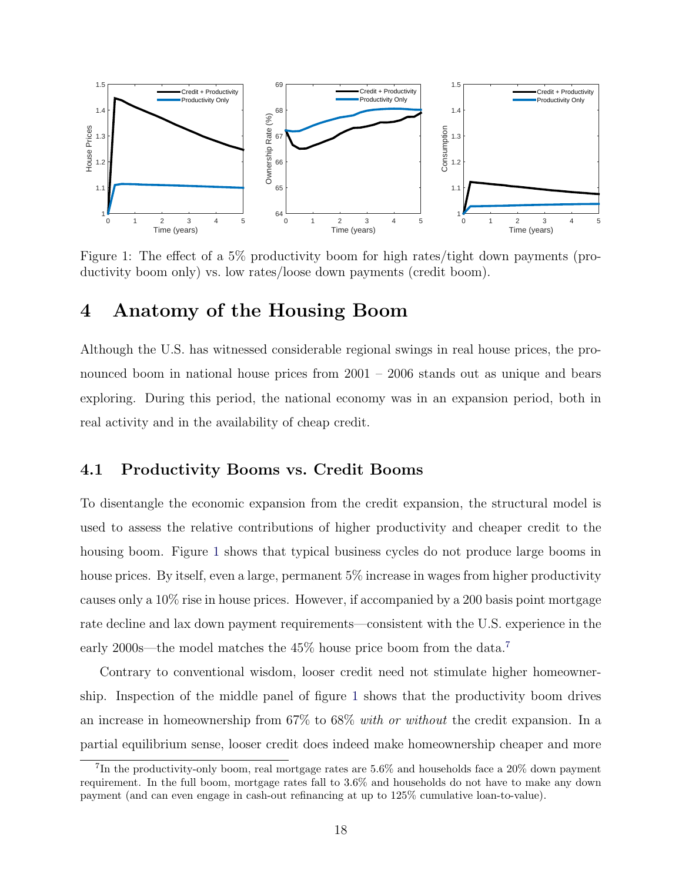<span id="page-17-0"></span>

Figure 1: The effect of a 5% productivity boom for high rates/tight down payments (productivity boom only) vs. low rates/loose down payments (credit boom).

## <span id="page-17-2"></span>4 Anatomy of the Housing Boom

Although the U.S. has witnessed considerable regional swings in real house prices, the pronounced boom in national house prices from 2001 – 2006 stands out as unique and bears exploring. During this period, the national economy was in an expansion period, both in real activity and in the availability of cheap credit.

#### 4.1 Productivity Booms vs. Credit Booms

To disentangle the economic expansion from the credit expansion, the structural model is used to assess the relative contributions of higher productivity and cheaper credit to the housing boom. Figure [1](#page-17-0) shows that typical business cycles do not produce large booms in house prices. By itself, even a large, permanent 5% increase in wages from higher productivity causes only a 10% rise in house prices. However, if accompanied by a 200 basis point mortgage rate decline and lax down payment requirements—consistent with the U.S. experience in the early 2000s—the model matches the  $45\%$  house price boom from the data.<sup>[7](#page-17-1)</sup>

Contrary to conventional wisdom, looser credit need not stimulate higher homeownership. Inspection of the middle panel of figure [1](#page-17-0) shows that the productivity boom drives an increase in homeownership from 67% to 68% with or without the credit expansion. In a partial equilibrium sense, looser credit does indeed make homeownership cheaper and more

<span id="page-17-1"></span><sup>&</sup>lt;sup>7</sup>In the productivity-only boom, real mortgage rates are  $5.6\%$  and households face a 20% down payment requirement. In the full boom, mortgage rates fall to 3.6% and households do not have to make any down payment (and can even engage in cash-out refinancing at up to 125% cumulative loan-to-value).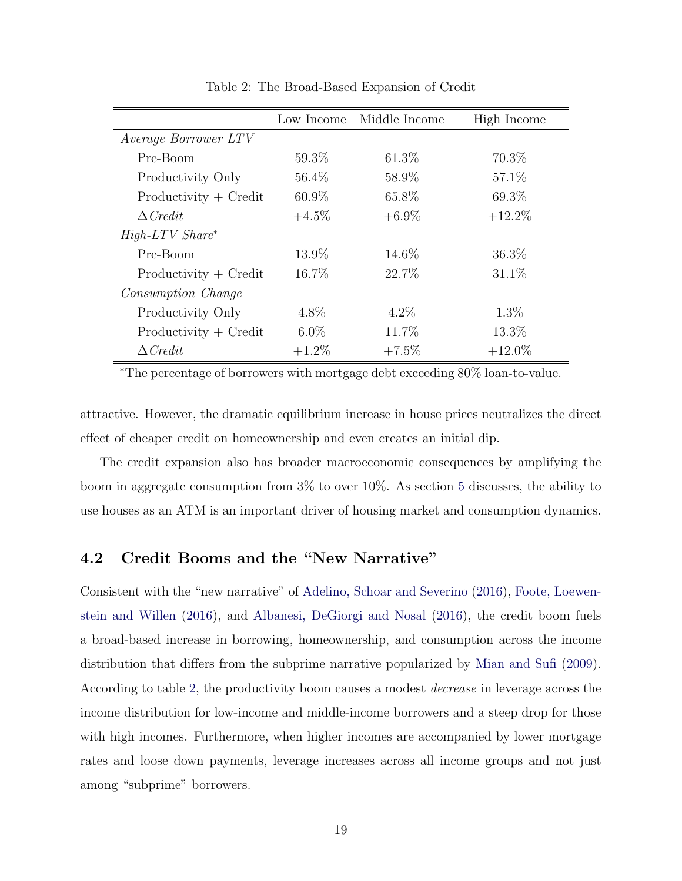<span id="page-18-0"></span>

|                           | Low Income | Middle Income | High Income |
|---------------------------|------------|---------------|-------------|
| Average Borrower LTV      |            |               |             |
| Pre-Boom                  | $59.3\%$   | $61.3\%$      | 70.3\%      |
| Productivity Only         | 56.4\%     | 58.9%         | 57.1\%      |
| $Productivity + Credit$   | $60.9\%$   | 65.8%         | 69.3%       |
| $\triangle Credit$        | $+4.5\%$   | $+6.9\%$      | $+12.2\%$   |
| $High-LTV$ $Share^*$      |            |               |             |
| Pre-Boom                  | 13.9%      | 14.6\%        | 36.3%       |
| $Productivity + Credit$   | 16.7%      | 22.7\%        | $31.1\%$    |
| <i>Consumption Change</i> |            |               |             |
| Productivity Only         | 4.8\%      | $4.2\%$       | $1.3\%$     |
| $Productivity + Credit$   | $6.0\%$    | 11.7%         | 13.3%       |
| $\triangle Credit$        | $+1.2\%$   | $+7.5\%$      | $+12.0\%$   |

Table 2: The Broad-Based Expansion of Credit

<sup>∗</sup>The percentage of borrowers with mortgage debt exceeding 80% loan-to-value.

attractive. However, the dramatic equilibrium increase in house prices neutralizes the direct effect of cheaper credit on homeownership and even creates an initial dip.

The credit expansion also has broader macroeconomic consequences by amplifying the boom in aggregate consumption from 3% to over 10%. As section [5](#page-19-0) discusses, the ability to use houses as an ATM is an important driver of housing market and consumption dynamics.

### 4.2 Credit Booms and the "New Narrative"

Consistent with the "new narrative" of [Adelino, Schoar and Severino](#page-30-3) [\(2016\)](#page-30-3), [Foote, Loewen](#page-31-7)[stein and Willen](#page-31-7) [\(2016\)](#page-31-7), and [Albanesi, DeGiorgi and Nosal](#page-30-4) [\(2016\)](#page-30-4), the credit boom fuels a broad-based increase in borrowing, homeownership, and consumption across the income distribution that differs from the subprime narrative popularized by [Mian and Sufi](#page-31-8) [\(2009\)](#page-31-8). According to table [2,](#page-18-0) the productivity boom causes a modest decrease in leverage across the income distribution for low-income and middle-income borrowers and a steep drop for those with high incomes. Furthermore, when higher incomes are accompanied by lower mortgage rates and loose down payments, leverage increases across all income groups and not just among "subprime" borrowers.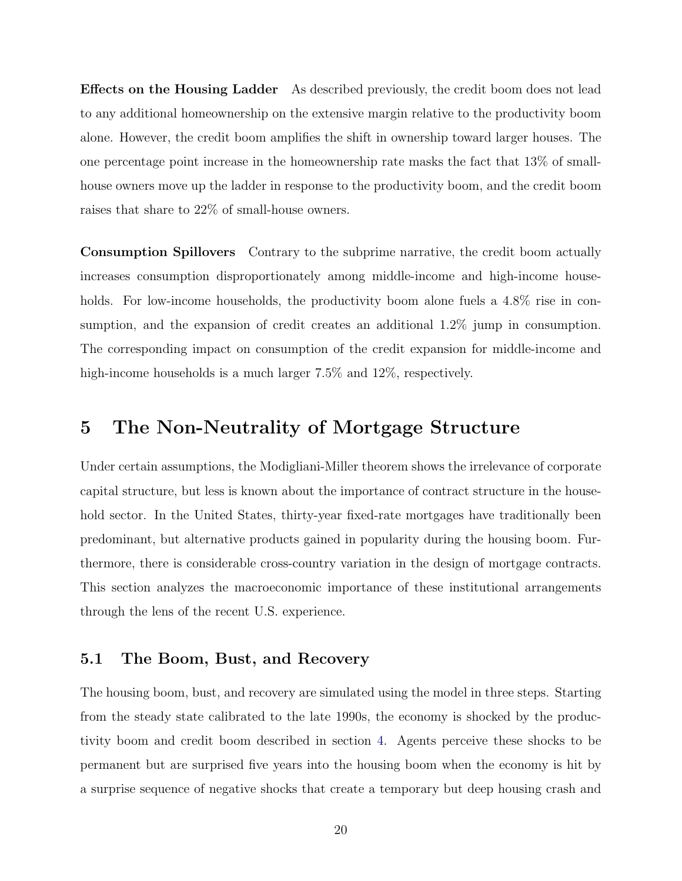Effects on the Housing Ladder As described previously, the credit boom does not lead to any additional homeownership on the extensive margin relative to the productivity boom alone. However, the credit boom amplifies the shift in ownership toward larger houses. The one percentage point increase in the homeownership rate masks the fact that 13% of smallhouse owners move up the ladder in response to the productivity boom, and the credit boom raises that share to 22% of small-house owners.

Consumption Spillovers Contrary to the subprime narrative, the credit boom actually increases consumption disproportionately among middle-income and high-income households. For low-income households, the productivity boom alone fuels a 4.8% rise in consumption, and the expansion of credit creates an additional 1.2% jump in consumption. The corresponding impact on consumption of the credit expansion for middle-income and high-income households is a much larger  $7.5\%$  and  $12\%$ , respectively.

## <span id="page-19-0"></span>5 The Non-Neutrality of Mortgage Structure

Under certain assumptions, the Modigliani-Miller theorem shows the irrelevance of corporate capital structure, but less is known about the importance of contract structure in the household sector. In the United States, thirty-year fixed-rate mortgages have traditionally been predominant, but alternative products gained in popularity during the housing boom. Furthermore, there is considerable cross-country variation in the design of mortgage contracts. This section analyzes the macroeconomic importance of these institutional arrangements through the lens of the recent U.S. experience.

#### 5.1 The Boom, Bust, and Recovery

The housing boom, bust, and recovery are simulated using the model in three steps. Starting from the steady state calibrated to the late 1990s, the economy is shocked by the productivity boom and credit boom described in section [4.](#page-17-2) Agents perceive these shocks to be permanent but are surprised five years into the housing boom when the economy is hit by a surprise sequence of negative shocks that create a temporary but deep housing crash and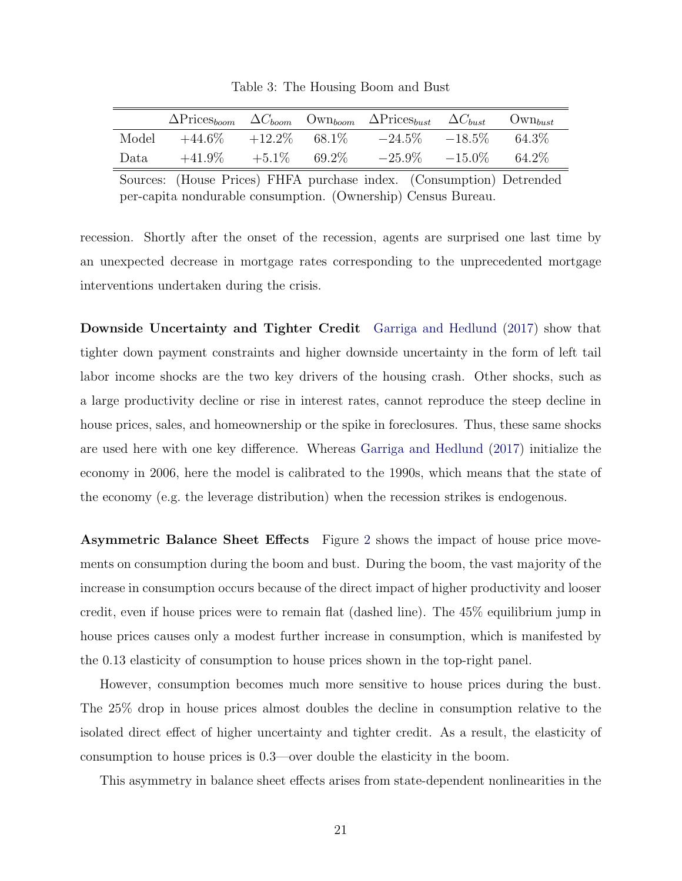|       |           |           |        | $\Delta \text{Price}_{boom}$ $\Delta C_{boom}$ $\text{Own}_{boom}$ $\Delta \text{Price}_{burst}$ $\Delta C_{burst}$ |           | $\text{Own}_{burst}$ |
|-------|-----------|-----------|--------|---------------------------------------------------------------------------------------------------------------------|-----------|----------------------|
| Model | $+44.6\%$ | $+12.2\%$ | 68.1\% | $-24.5\%$                                                                                                           | $-18.5\%$ | 64.3\%               |
| Data  | $+41.9\%$ | $+5.1\%$  | 69.2\% | $-25.9\%$ $-15.0\%$                                                                                                 |           | 64.2\%               |

Table 3: The Housing Boom and Bust

Sources: (House Prices) FHFA purchase index. (Consumption) Detrended per-capita nondurable consumption. (Ownership) Census Bureau.

recession. Shortly after the onset of the recession, agents are surprised one last time by an unexpected decrease in mortgage rates corresponding to the unprecedented mortgage interventions undertaken during the crisis.

Downside Uncertainty and Tighter Credit [Garriga and Hedlund](#page-31-3) [\(2017\)](#page-31-3) show that tighter down payment constraints and higher downside uncertainty in the form of left tail labor income shocks are the two key drivers of the housing crash. Other shocks, such as a large productivity decline or rise in interest rates, cannot reproduce the steep decline in house prices, sales, and homeownership or the spike in foreclosures. Thus, these same shocks are used here with one key difference. Whereas [Garriga and Hedlund](#page-31-3) [\(2017\)](#page-31-3) initialize the economy in 2006, here the model is calibrated to the 1990s, which means that the state of the economy (e.g. the leverage distribution) when the recession strikes is endogenous.

Asymmetric Balance Sheet Effects Figure [2](#page-21-0) shows the impact of house price movements on consumption during the boom and bust. During the boom, the vast majority of the increase in consumption occurs because of the direct impact of higher productivity and looser credit, even if house prices were to remain flat (dashed line). The 45% equilibrium jump in house prices causes only a modest further increase in consumption, which is manifested by the 0.13 elasticity of consumption to house prices shown in the top-right panel.

However, consumption becomes much more sensitive to house prices during the bust. The 25% drop in house prices almost doubles the decline in consumption relative to the isolated direct effect of higher uncertainty and tighter credit. As a result, the elasticity of consumption to house prices is 0.3—over double the elasticity in the boom.

This asymmetry in balance sheet effects arises from state-dependent nonlinearities in the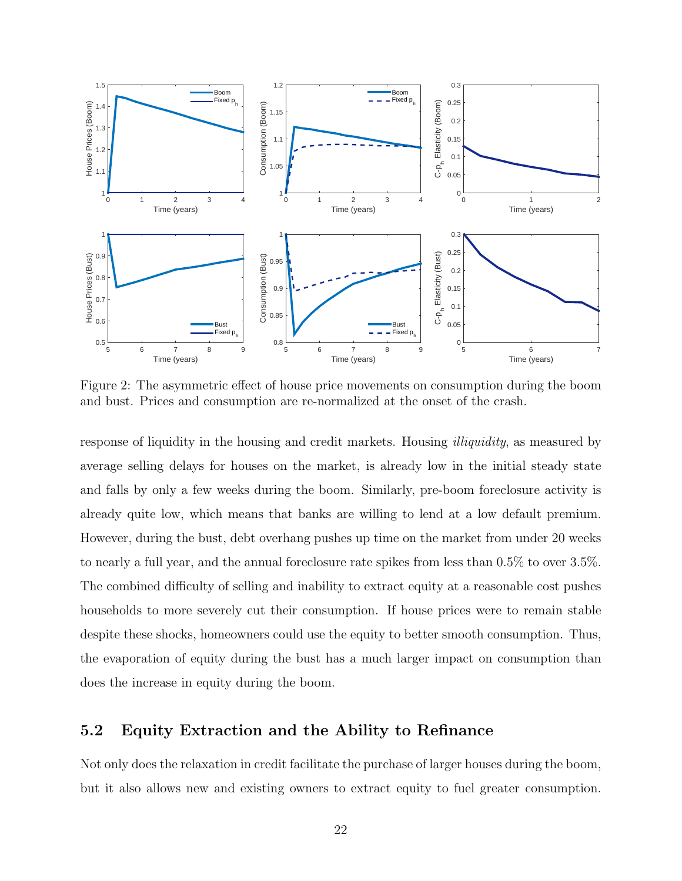<span id="page-21-0"></span>

Figure 2: The asymmetric effect of house price movements on consumption during the boom and bust. Prices and consumption are re-normalized at the onset of the crash.

response of liquidity in the housing and credit markets. Housing illiquidity, as measured by average selling delays for houses on the market, is already low in the initial steady state and falls by only a few weeks during the boom. Similarly, pre-boom foreclosure activity is already quite low, which means that banks are willing to lend at a low default premium. However, during the bust, debt overhang pushes up time on the market from under 20 weeks to nearly a full year, and the annual foreclosure rate spikes from less than 0.5% to over 3.5%. The combined difficulty of selling and inability to extract equity at a reasonable cost pushes households to more severely cut their consumption. If house prices were to remain stable despite these shocks, homeowners could use the equity to better smooth consumption. Thus, the evaporation of equity during the bust has a much larger impact on consumption than does the increase in equity during the boom.

#### 5.2 Equity Extraction and the Ability to Refinance

Not only does the relaxation in credit facilitate the purchase of larger houses during the boom, but it also allows new and existing owners to extract equity to fuel greater consumption.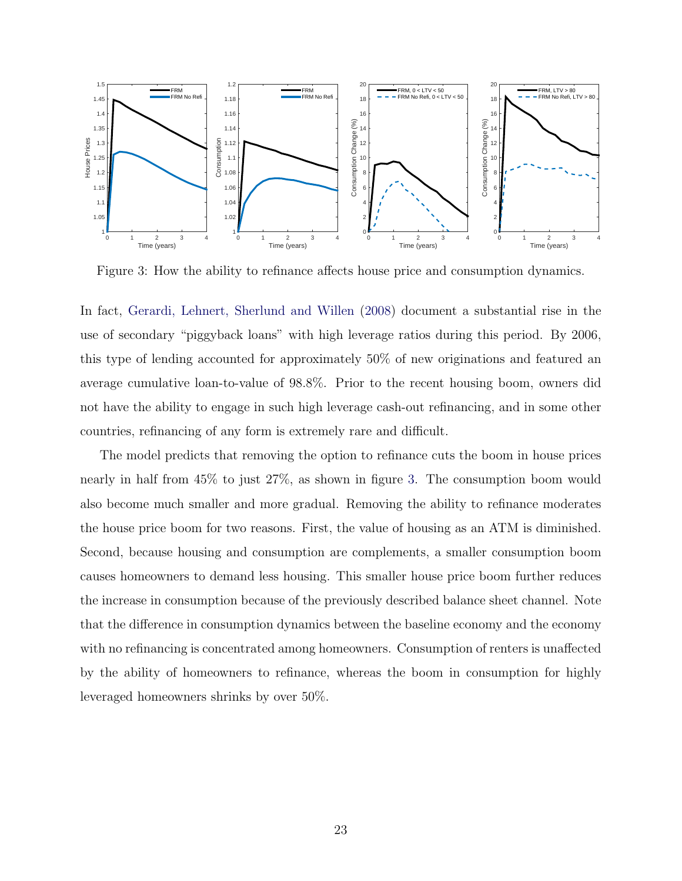<span id="page-22-0"></span>

Figure 3: How the ability to refinance affects house price and consumption dynamics.

In fact, [Gerardi, Lehnert, Sherlund and Willen](#page-31-9) [\(2008\)](#page-31-9) document a substantial rise in the use of secondary "piggyback loans" with high leverage ratios during this period. By 2006, this type of lending accounted for approximately 50% of new originations and featured an average cumulative loan-to-value of 98.8%. Prior to the recent housing boom, owners did not have the ability to engage in such high leverage cash-out refinancing, and in some other countries, refinancing of any form is extremely rare and difficult.

The model predicts that removing the option to refinance cuts the boom in house prices nearly in half from 45% to just 27%, as shown in figure [3.](#page-22-0) The consumption boom would also become much smaller and more gradual. Removing the ability to refinance moderates the house price boom for two reasons. First, the value of housing as an ATM is diminished. Second, because housing and consumption are complements, a smaller consumption boom causes homeowners to demand less housing. This smaller house price boom further reduces the increase in consumption because of the previously described balance sheet channel. Note that the difference in consumption dynamics between the baseline economy and the economy with no refinancing is concentrated among homeowners. Consumption of renters is unaffected by the ability of homeowners to refinance, whereas the boom in consumption for highly leveraged homeowners shrinks by over 50%.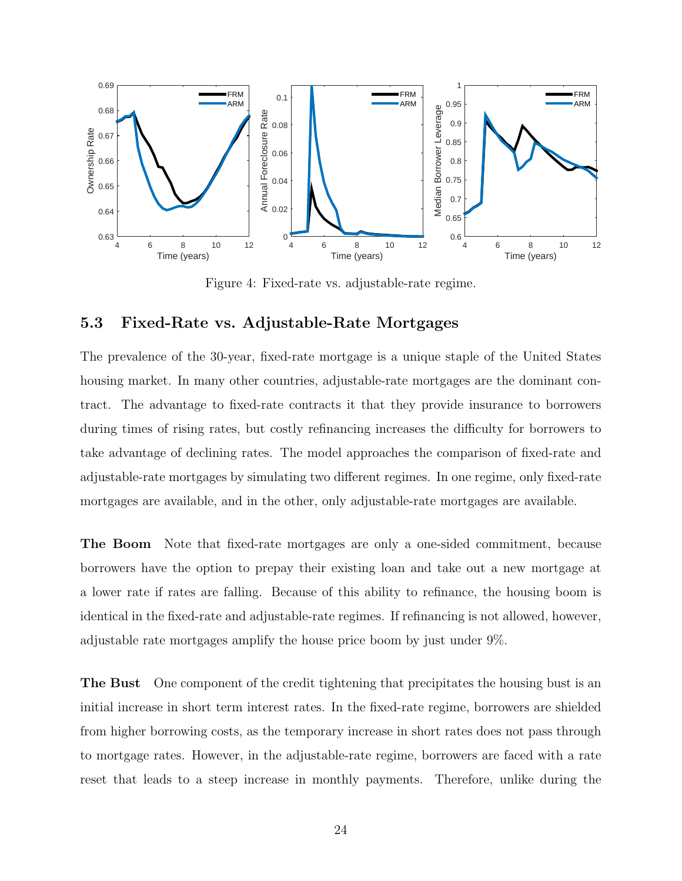<span id="page-23-1"></span>

Figure 4: Fixed-rate vs. adjustable-rate regime.

### <span id="page-23-0"></span>5.3 Fixed-Rate vs. Adjustable-Rate Mortgages

The prevalence of the 30-year, fixed-rate mortgage is a unique staple of the United States housing market. In many other countries, adjustable-rate mortgages are the dominant contract. The advantage to fixed-rate contracts it that they provide insurance to borrowers during times of rising rates, but costly refinancing increases the difficulty for borrowers to take advantage of declining rates. The model approaches the comparison of fixed-rate and adjustable-rate mortgages by simulating two different regimes. In one regime, only fixed-rate mortgages are available, and in the other, only adjustable-rate mortgages are available.

The Boom Note that fixed-rate mortgages are only a one-sided commitment, because borrowers have the option to prepay their existing loan and take out a new mortgage at a lower rate if rates are falling. Because of this ability to refinance, the housing boom is identical in the fixed-rate and adjustable-rate regimes. If refinancing is not allowed, however, adjustable rate mortgages amplify the house price boom by just under 9%.

The Bust One component of the credit tightening that precipitates the housing bust is an initial increase in short term interest rates. In the fixed-rate regime, borrowers are shielded from higher borrowing costs, as the temporary increase in short rates does not pass through to mortgage rates. However, in the adjustable-rate regime, borrowers are faced with a rate reset that leads to a steep increase in monthly payments. Therefore, unlike during the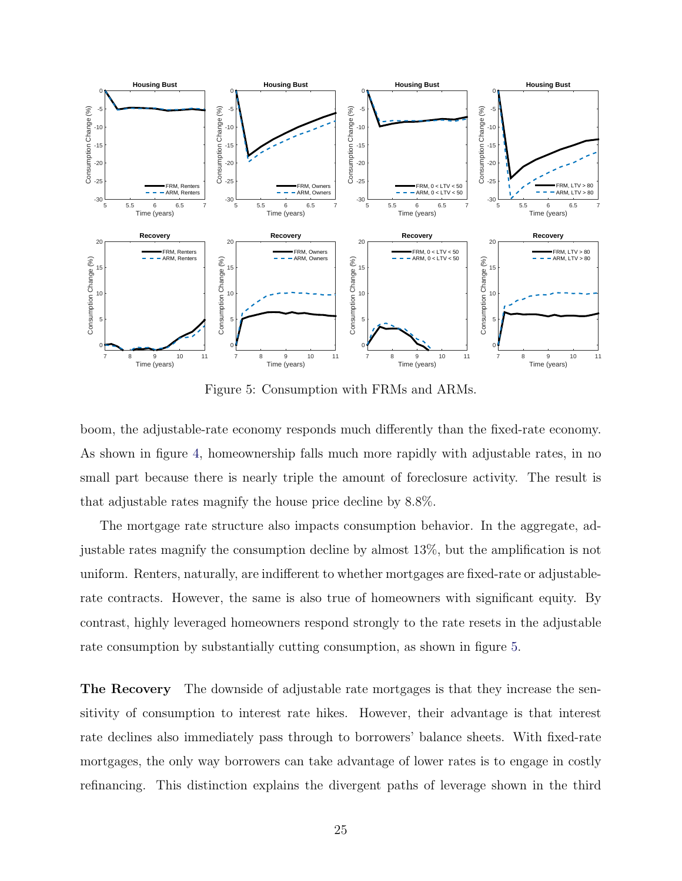<span id="page-24-0"></span>

Figure 5: Consumption with FRMs and ARMs.

boom, the adjustable-rate economy responds much differently than the fixed-rate economy. As shown in figure [4,](#page-23-1) homeownership falls much more rapidly with adjustable rates, in no small part because there is nearly triple the amount of foreclosure activity. The result is that adjustable rates magnify the house price decline by 8.8%.

The mortgage rate structure also impacts consumption behavior. In the aggregate, adjustable rates magnify the consumption decline by almost 13%, but the amplification is not uniform. Renters, naturally, are indifferent to whether mortgages are fixed-rate or adjustablerate contracts. However, the same is also true of homeowners with significant equity. By contrast, highly leveraged homeowners respond strongly to the rate resets in the adjustable rate consumption by substantially cutting consumption, as shown in figure [5.](#page-24-0)

The Recovery The downside of adjustable rate mortgages is that they increase the sensitivity of consumption to interest rate hikes. However, their advantage is that interest rate declines also immediately pass through to borrowers' balance sheets. With fixed-rate mortgages, the only way borrowers can take advantage of lower rates is to engage in costly refinancing. This distinction explains the divergent paths of leverage shown in the third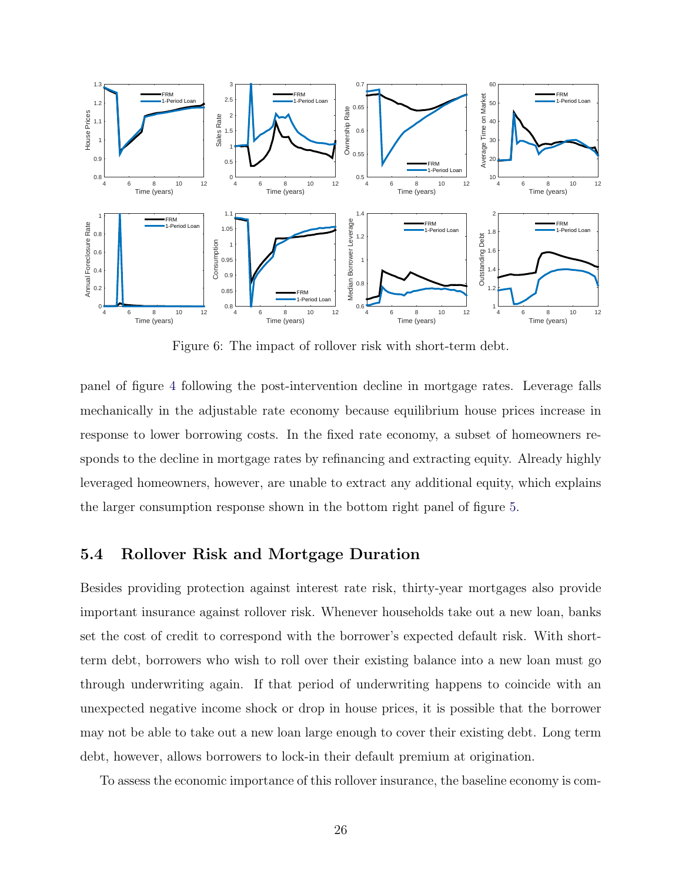<span id="page-25-0"></span>

Figure 6: The impact of rollover risk with short-term debt.

panel of figure [4](#page-23-1) following the post-intervention decline in mortgage rates. Leverage falls mechanically in the adjustable rate economy because equilibrium house prices increase in response to lower borrowing costs. In the fixed rate economy, a subset of homeowners responds to the decline in mortgage rates by refinancing and extracting equity. Already highly leveraged homeowners, however, are unable to extract any additional equity, which explains the larger consumption response shown in the bottom right panel of figure [5.](#page-24-0)

#### 5.4 Rollover Risk and Mortgage Duration

Besides providing protection against interest rate risk, thirty-year mortgages also provide important insurance against rollover risk. Whenever households take out a new loan, banks set the cost of credit to correspond with the borrower's expected default risk. With shortterm debt, borrowers who wish to roll over their existing balance into a new loan must go through underwriting again. If that period of underwriting happens to coincide with an unexpected negative income shock or drop in house prices, it is possible that the borrower may not be able to take out a new loan large enough to cover their existing debt. Long term debt, however, allows borrowers to lock-in their default premium at origination.

To assess the economic importance of this rollover insurance, the baseline economy is com-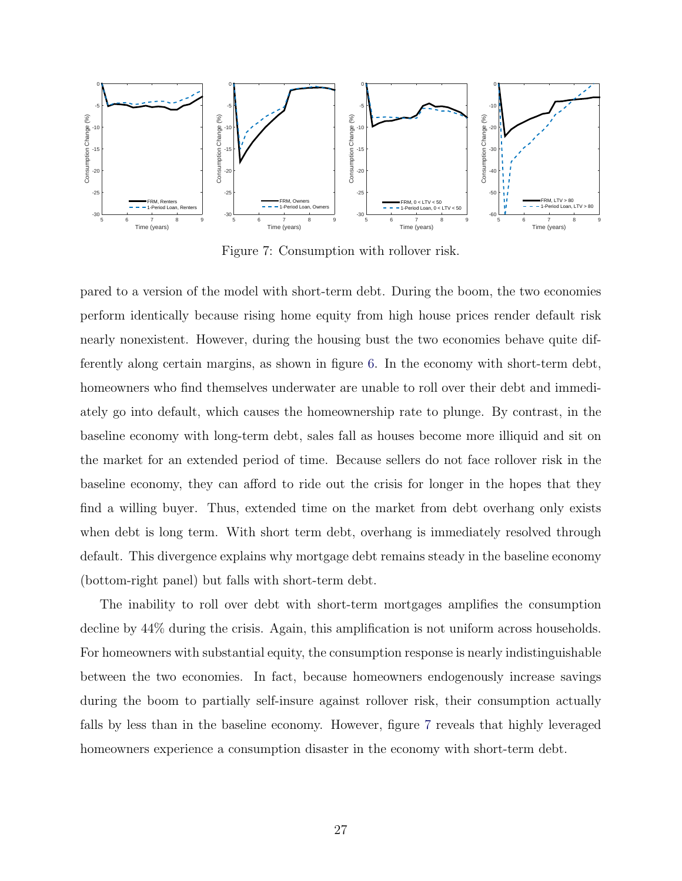<span id="page-26-0"></span>

Figure 7: Consumption with rollover risk.

pared to a version of the model with short-term debt. During the boom, the two economies perform identically because rising home equity from high house prices render default risk nearly nonexistent. However, during the housing bust the two economies behave quite differently along certain margins, as shown in figure [6.](#page-25-0) In the economy with short-term debt, homeowners who find themselves underwater are unable to roll over their debt and immediately go into default, which causes the homeownership rate to plunge. By contrast, in the baseline economy with long-term debt, sales fall as houses become more illiquid and sit on the market for an extended period of time. Because sellers do not face rollover risk in the baseline economy, they can afford to ride out the crisis for longer in the hopes that they find a willing buyer. Thus, extended time on the market from debt overhang only exists when debt is long term. With short term debt, overhang is immediately resolved through default. This divergence explains why mortgage debt remains steady in the baseline economy (bottom-right panel) but falls with short-term debt.

The inability to roll over debt with short-term mortgages amplifies the consumption decline by 44% during the crisis. Again, this amplification is not uniform across households. For homeowners with substantial equity, the consumption response is nearly indistinguishable between the two economies. In fact, because homeowners endogenously increase savings during the boom to partially self-insure against rollover risk, their consumption actually falls by less than in the baseline economy. However, figure [7](#page-26-0) reveals that highly leveraged homeowners experience a consumption disaster in the economy with short-term debt.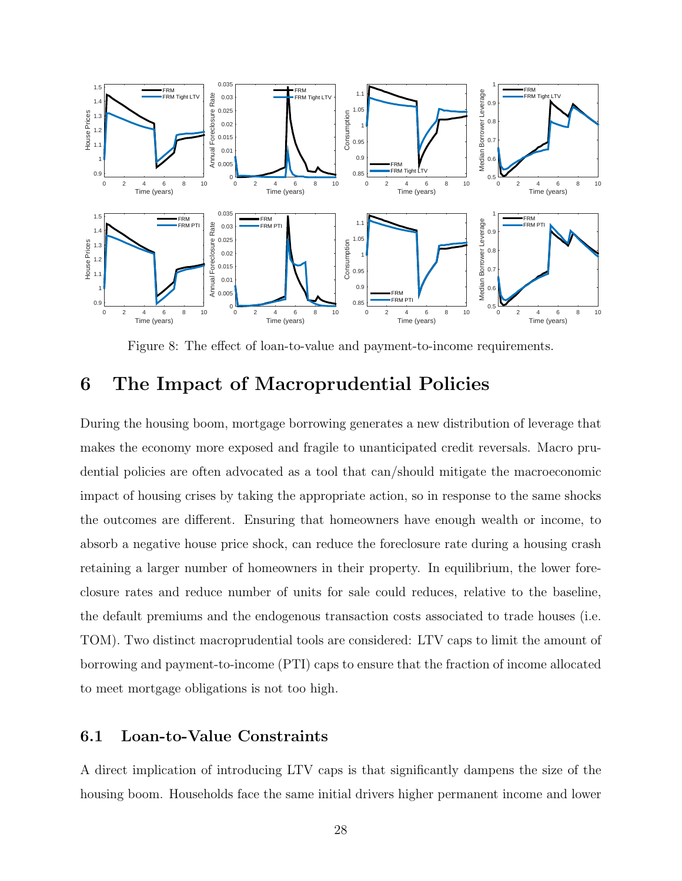<span id="page-27-0"></span>

Figure 8: The effect of loan-to-value and payment-to-income requirements.

## 6 The Impact of Macroprudential Policies

During the housing boom, mortgage borrowing generates a new distribution of leverage that makes the economy more exposed and fragile to unanticipated credit reversals. Macro prudential policies are often advocated as a tool that can/should mitigate the macroeconomic impact of housing crises by taking the appropriate action, so in response to the same shocks the outcomes are different. Ensuring that homeowners have enough wealth or income, to absorb a negative house price shock, can reduce the foreclosure rate during a housing crash retaining a larger number of homeowners in their property. In equilibrium, the lower foreclosure rates and reduce number of units for sale could reduces, relative to the baseline, the default premiums and the endogenous transaction costs associated to trade houses (i.e. TOM). Two distinct macroprudential tools are considered: LTV caps to limit the amount of borrowing and payment-to-income (PTI) caps to ensure that the fraction of income allocated to meet mortgage obligations is not too high.

#### 6.1 Loan-to-Value Constraints

A direct implication of introducing LTV caps is that significantly dampens the size of the housing boom. Households face the same initial drivers higher permanent income and lower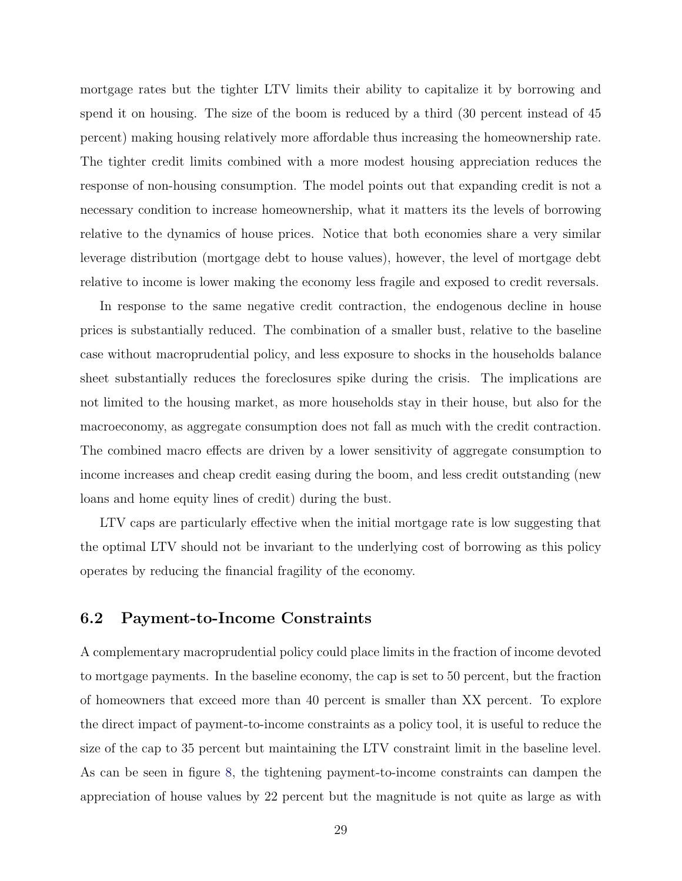mortgage rates but the tighter LTV limits their ability to capitalize it by borrowing and spend it on housing. The size of the boom is reduced by a third (30 percent instead of 45 percent) making housing relatively more affordable thus increasing the homeownership rate. The tighter credit limits combined with a more modest housing appreciation reduces the response of non-housing consumption. The model points out that expanding credit is not a necessary condition to increase homeownership, what it matters its the levels of borrowing relative to the dynamics of house prices. Notice that both economies share a very similar leverage distribution (mortgage debt to house values), however, the level of mortgage debt relative to income is lower making the economy less fragile and exposed to credit reversals.

In response to the same negative credit contraction, the endogenous decline in house prices is substantially reduced. The combination of a smaller bust, relative to the baseline case without macroprudential policy, and less exposure to shocks in the households balance sheet substantially reduces the foreclosures spike during the crisis. The implications are not limited to the housing market, as more households stay in their house, but also for the macroeconomy, as aggregate consumption does not fall as much with the credit contraction. The combined macro effects are driven by a lower sensitivity of aggregate consumption to income increases and cheap credit easing during the boom, and less credit outstanding (new loans and home equity lines of credit) during the bust.

LTV caps are particularly effective when the initial mortgage rate is low suggesting that the optimal LTV should not be invariant to the underlying cost of borrowing as this policy operates by reducing the financial fragility of the economy.

#### 6.2 Payment-to-Income Constraints

A complementary macroprudential policy could place limits in the fraction of income devoted to mortgage payments. In the baseline economy, the cap is set to 50 percent, but the fraction of homeowners that exceed more than 40 percent is smaller than XX percent. To explore the direct impact of payment-to-income constraints as a policy tool, it is useful to reduce the size of the cap to 35 percent but maintaining the LTV constraint limit in the baseline level. As can be seen in figure [8,](#page-27-0) the tightening payment-to-income constraints can dampen the appreciation of house values by 22 percent but the magnitude is not quite as large as with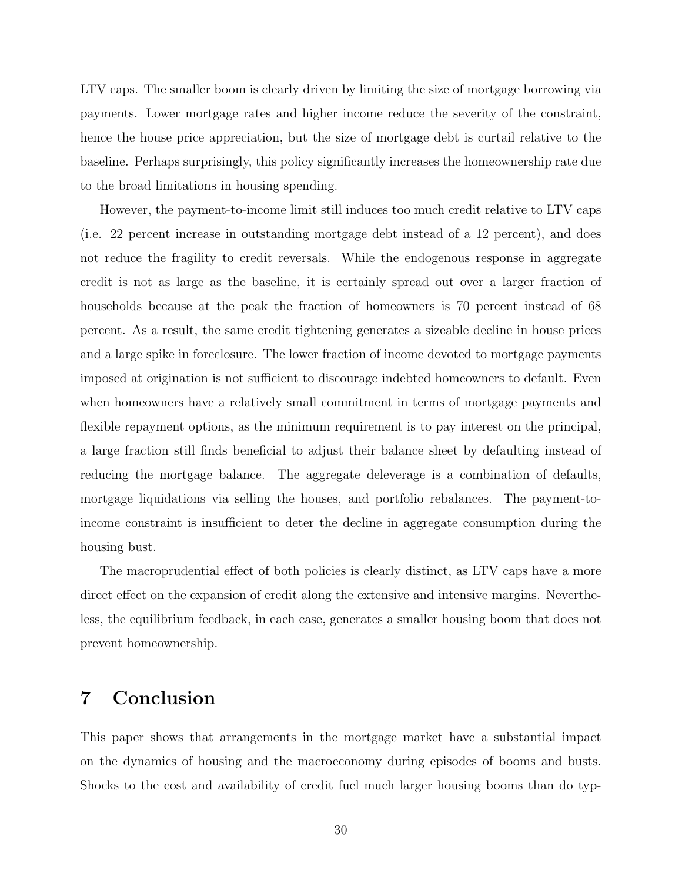LTV caps. The smaller boom is clearly driven by limiting the size of mortgage borrowing via payments. Lower mortgage rates and higher income reduce the severity of the constraint, hence the house price appreciation, but the size of mortgage debt is curtail relative to the baseline. Perhaps surprisingly, this policy significantly increases the homeownership rate due to the broad limitations in housing spending.

However, the payment-to-income limit still induces too much credit relative to LTV caps (i.e. 22 percent increase in outstanding mortgage debt instead of a 12 percent), and does not reduce the fragility to credit reversals. While the endogenous response in aggregate credit is not as large as the baseline, it is certainly spread out over a larger fraction of households because at the peak the fraction of homeowners is 70 percent instead of 68 percent. As a result, the same credit tightening generates a sizeable decline in house prices and a large spike in foreclosure. The lower fraction of income devoted to mortgage payments imposed at origination is not sufficient to discourage indebted homeowners to default. Even when homeowners have a relatively small commitment in terms of mortgage payments and flexible repayment options, as the minimum requirement is to pay interest on the principal, a large fraction still finds beneficial to adjust their balance sheet by defaulting instead of reducing the mortgage balance. The aggregate deleverage is a combination of defaults, mortgage liquidations via selling the houses, and portfolio rebalances. The payment-toincome constraint is insufficient to deter the decline in aggregate consumption during the housing bust.

The macroprudential effect of both policies is clearly distinct, as LTV caps have a more direct effect on the expansion of credit along the extensive and intensive margins. Nevertheless, the equilibrium feedback, in each case, generates a smaller housing boom that does not prevent homeownership.

## 7 Conclusion

This paper shows that arrangements in the mortgage market have a substantial impact on the dynamics of housing and the macroeconomy during episodes of booms and busts. Shocks to the cost and availability of credit fuel much larger housing booms than do typ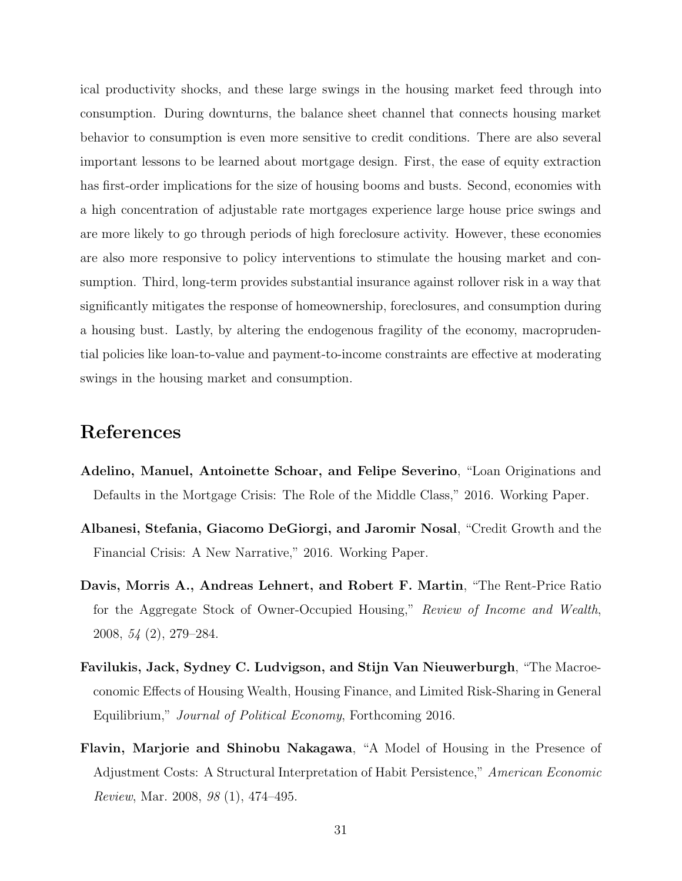ical productivity shocks, and these large swings in the housing market feed through into consumption. During downturns, the balance sheet channel that connects housing market behavior to consumption is even more sensitive to credit conditions. There are also several important lessons to be learned about mortgage design. First, the ease of equity extraction has first-order implications for the size of housing booms and busts. Second, economies with a high concentration of adjustable rate mortgages experience large house price swings and are more likely to go through periods of high foreclosure activity. However, these economies are also more responsive to policy interventions to stimulate the housing market and consumption. Third, long-term provides substantial insurance against rollover risk in a way that significantly mitigates the response of homeownership, foreclosures, and consumption during a housing bust. Lastly, by altering the endogenous fragility of the economy, macroprudential policies like loan-to-value and payment-to-income constraints are effective at moderating swings in the housing market and consumption.

## References

- <span id="page-30-3"></span>Adelino, Manuel, Antoinette Schoar, and Felipe Severino, "Loan Originations and Defaults in the Mortgage Crisis: The Role of the Middle Class," 2016. Working Paper.
- <span id="page-30-4"></span>Albanesi, Stefania, Giacomo DeGiorgi, and Jaromir Nosal, "Credit Growth and the Financial Crisis: A New Narrative," 2016. Working Paper.
- <span id="page-30-1"></span>Davis, Morris A., Andreas Lehnert, and Robert F. Martin, "The Rent-Price Ratio for the Aggregate Stock of Owner-Occupied Housing," Review of Income and Wealth, 2008, 54 (2), 279–284.
- <span id="page-30-0"></span>Favilukis, Jack, Sydney C. Ludvigson, and Stijn Van Nieuwerburgh, "The Macroeconomic Effects of Housing Wealth, Housing Finance, and Limited Risk-Sharing in General Equilibrium," Journal of Political Economy, Forthcoming 2016.
- <span id="page-30-2"></span>Flavin, Marjorie and Shinobu Nakagawa, "A Model of Housing in the Presence of Adjustment Costs: A Structural Interpretation of Habit Persistence," American Economic Review, Mar. 2008, 98 (1), 474–495.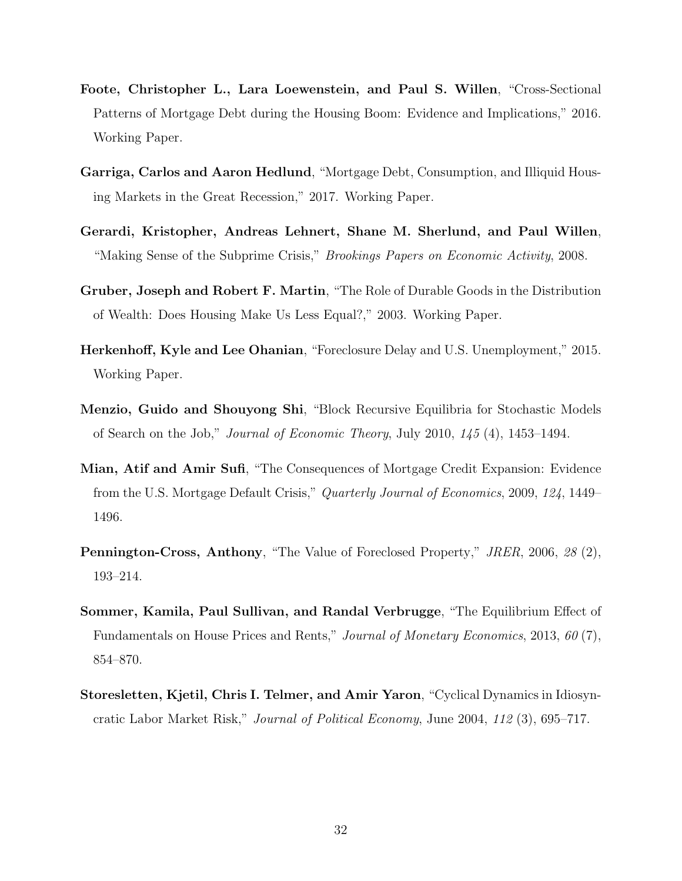- <span id="page-31-7"></span>Foote, Christopher L., Lara Loewenstein, and Paul S. Willen, "Cross-Sectional Patterns of Mortgage Debt during the Housing Boom: Evidence and Implications," 2016. Working Paper.
- <span id="page-31-3"></span>Garriga, Carlos and Aaron Hedlund, "Mortgage Debt, Consumption, and Illiquid Housing Markets in the Great Recession," 2017. Working Paper.
- <span id="page-31-9"></span>Gerardi, Kristopher, Andreas Lehnert, Shane M. Sherlund, and Paul Willen, "Making Sense of the Subprime Crisis," Brookings Papers on Economic Activity, 2008.
- <span id="page-31-5"></span>Gruber, Joseph and Robert F. Martin, "The Role of Durable Goods in the Distribution of Wealth: Does Housing Make Us Less Equal?," 2003. Working Paper.
- <span id="page-31-4"></span>Herkenhoff, Kyle and Lee Ohanian, "Foreclosure Delay and U.S. Unemployment," 2015. Working Paper.
- <span id="page-31-1"></span>Menzio, Guido and Shouyong Shi, "Block Recursive Equilibria for Stochastic Models of Search on the Job," Journal of Economic Theory, July 2010, 145 (4), 1453–1494.
- <span id="page-31-8"></span>Mian, Atif and Amir Sufi, "The Consequences of Mortgage Credit Expansion: Evidence from the U.S. Mortgage Default Crisis," Quarterly Journal of Economics, 2009, 124, 1449– 1496.
- <span id="page-31-6"></span>Pennington-Cross, Anthony, "The Value of Foreclosed Property," JRER, 2006, 28 (2), 193–214.
- <span id="page-31-0"></span>Sommer, Kamila, Paul Sullivan, and Randal Verbrugge, "The Equilibrium Effect of Fundamentals on House Prices and Rents," Journal of Monetary Economics, 2013, 60 (7), 854–870.
- <span id="page-31-2"></span>Storesletten, Kjetil, Chris I. Telmer, and Amir Yaron, "Cyclical Dynamics in Idiosyncratic Labor Market Risk," Journal of Political Economy, June 2004, 112 (3), 695–717.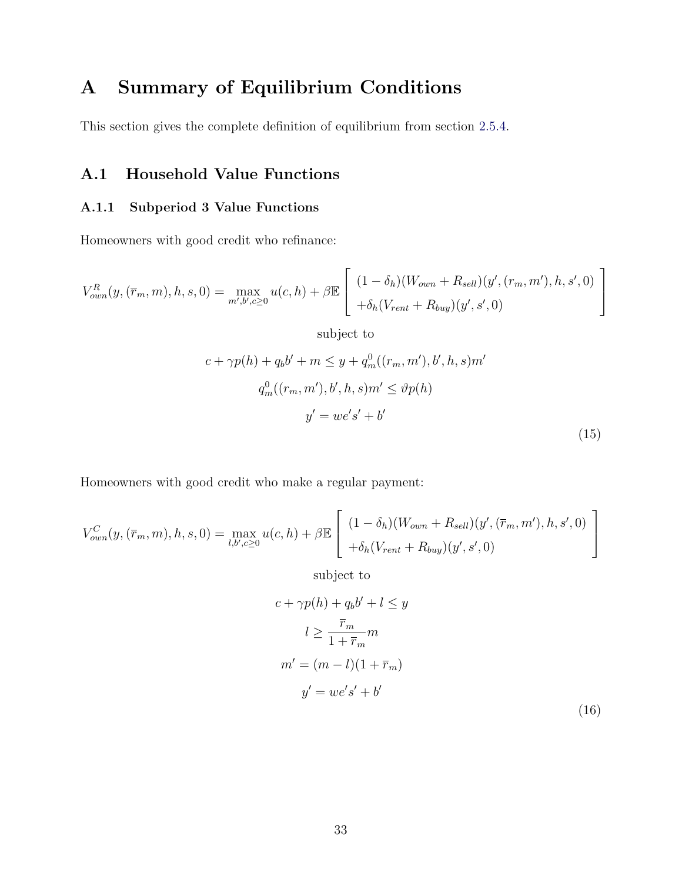# <span id="page-32-0"></span>A Summary of Equilibrium Conditions

This section gives the complete definition of equilibrium from section [2.5.4.](#page-14-0)

### A.1 Household Value Functions

### A.1.1 Subperiod 3 Value Functions

Homeowners with good credit who refinance:

<span id="page-32-1"></span>
$$
V_{own}^{R}(y, (\overline{r}_m, m), h, s, 0) = \max_{m', b', c \ge 0} u(c, h) + \beta \mathbb{E}\left[\begin{array}{l} (1 - \delta_h)(W_{own} + R_{sell})(y', (r_m, m'), h, s', 0) \\ + \delta_h(V_{rent} + R_{buy})(y', s', 0) \end{array}\right]
$$

subject to

$$
c + \gamma p(h) + q_b b' + m \leq y + q_m^0((r_m, m'), b', h, s)m'
$$
  

$$
q_m^0((r_m, m'), b', h, s)m' \leq \vartheta p(h)
$$
  

$$
y' = we's' + b'
$$
 (15)

Homeowners with good credit who make a regular payment:

$$
V_{own}^{C}(y, (\overline{r}_m, m), h, s, 0) = \max_{l, b', c \ge 0} u(c, h) + \beta \mathbb{E}\left[\begin{array}{l} (1 - \delta_h)(W_{own} + R_{sell})(y', (\overline{r}_m, m'), h, s', 0) \\ + \delta_h(V_{rent} + R_{buy})(y', s', 0) \end{array}\right]
$$

subject to

$$
c + \gamma p(h) + q_b b' + l \leq y
$$
  
\n
$$
l \geq \frac{\overline{r}_m}{1 + \overline{r}_m} m
$$
  
\n
$$
m' = (m - l)(1 + \overline{r}_m)
$$
  
\n
$$
y' = we's' + b'
$$
\n(16)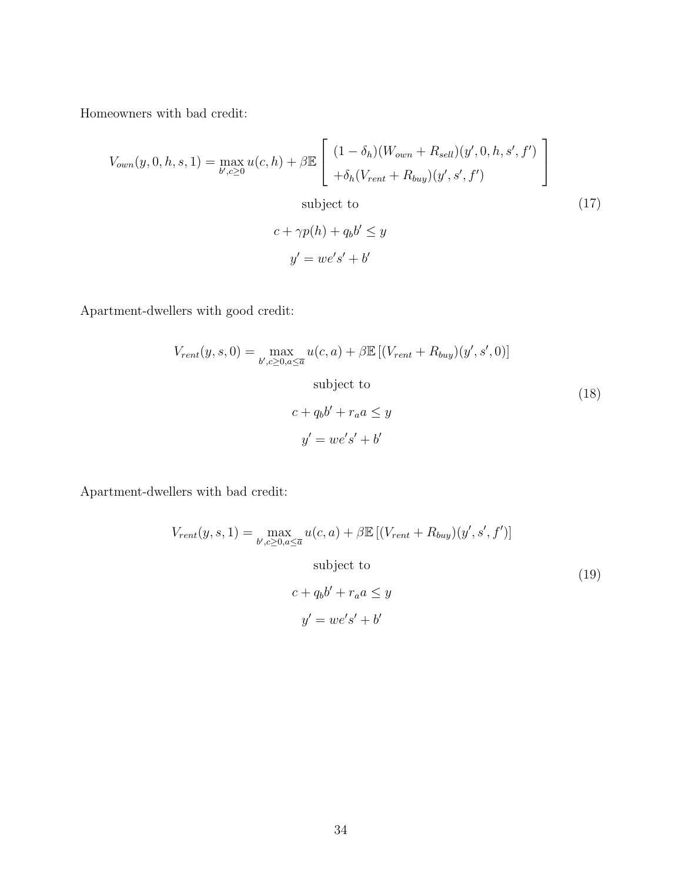Homeowners with bad credit:

$$
V_{own}(y, 0, h, s, 1) = \max_{b', c \ge 0} u(c, h) + \beta \mathbb{E} \left[ \begin{array}{l} (1 - \delta_h)(W_{own} + R_{sell})(y', 0, h, s', f') \\ + \delta_h(V_{rent} + R_{buy})(y', s', f') \end{array} \right]
$$
  
subject to  

$$
c + \gamma p(h) + q_b b' \le y
$$

$$
y' = we's' + b'
$$
 (17)

Apartment-dwellers with good credit:

$$
V_{rent}(y, s, 0) = \max_{b', c \ge 0, a \le \overline{a}} u(c, a) + \beta \mathbb{E} \left[ (V_{rent} + R_{buy})(y', s', 0) \right]
$$
  
subject to  

$$
c + q_b b' + r_a a \le y
$$

$$
y' = we's' + b'
$$
 (18)

Apartment-dwellers with bad credit:

<span id="page-33-0"></span>
$$
V_{rent}(y, s, 1) = \max_{b', c \ge 0, a \le \overline{a}} u(c, a) + \beta \mathbb{E} \left[ (V_{rent} + R_{buy})(y', s', f') \right]
$$
  
subject to  

$$
c + q_b b' + r_a a \le y
$$

$$
y' = we's' + b'
$$
 (19)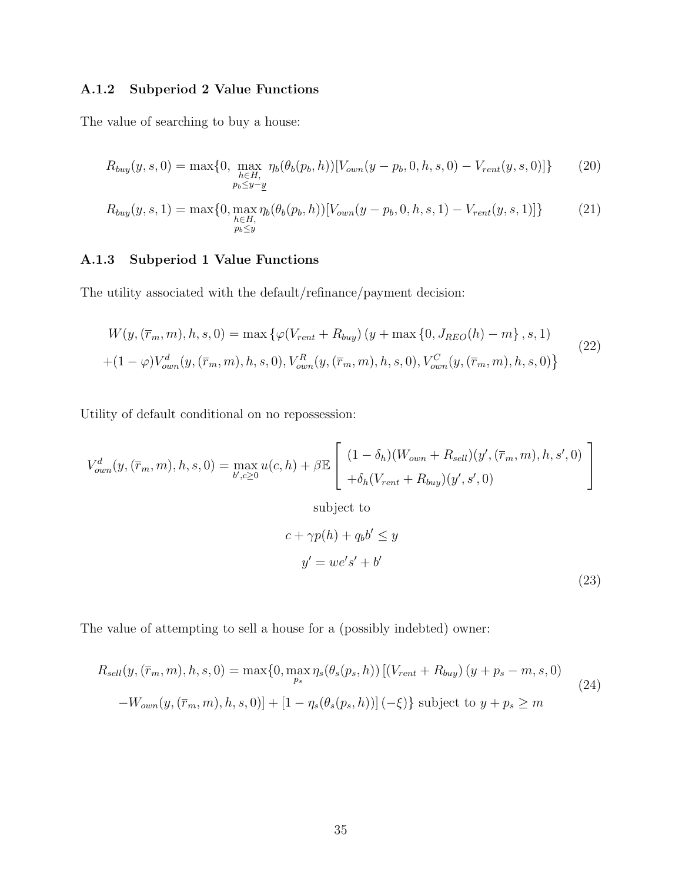### A.1.2 Subperiod 2 Value Functions

The value of searching to buy a house:

$$
R_{buy}(y,s,0) = \max\{0, \max_{\substack{h \in H, \\ p_b \le y-y}} \eta_b(\theta_b(p_b,h))[V_{own}(y-p_b,0,h,s,0) - V_{rent}(y,s,0)]\}
$$
(20)

$$
R_{buy}(y,s,1) = \max\{0, \max_{\substack{h \in H, \\ p_b \le y}} \eta_b(\theta_b(p_b,h))[V_{own}(y-p_b,0,h,s,1) - V_{rent}(y,s,1)]\}
$$
(21)

### A.1.3 Subperiod 1 Value Functions

The utility associated with the default/refinance/payment decision:

<span id="page-34-2"></span>
$$
W(y, (\overline{r}_m, m), h, s, 0) = \max \{ \varphi(V_{rent} + R_{buy}) (y + \max \{0, J_{REO}(h) - m\}, s, 1) + (1 - \varphi) V_{own}^d(y, (\overline{r}_m, m), h, s, 0), V_{own}^R(y, (\overline{r}_m, m), h, s, 0), V_{own}^C(y, (\overline{r}_m, m), h, s, 0) \}
$$
\n(22)

Utility of default conditional on no repossession:

$$
V_{own}^{d}(y, (\bar{r}_{m}, m), h, s, 0) = \max_{b', c \ge 0} u(c, h) + \beta \mathbb{E}\left[\begin{array}{l} (1 - \delta_{h})(W_{own} + R_{sell})(y', (\bar{r}_{m}, m), h, s', 0) \\ + \delta_{h}(V_{rent} + R_{buy})(y', s', 0) \end{array}\right]
$$

<span id="page-34-1"></span><span id="page-34-0"></span>subject to

$$
c + \gamma p(h) + q_b b' \le y
$$
  

$$
y' = we's' + b'
$$
 (23)

The value of attempting to sell a house for a (possibly indebted) owner:

<span id="page-34-3"></span>
$$
R_{sell}(y, (\bar{r}_m, m), h, s, 0) = \max\{0, \max_{p_s} \eta_s(\theta_s(p_s, h)) \left[ (V_{rent} + R_{buy}) (y + p_s - m, s, 0) - W_{own}(y, (\bar{r}_m, m), h, s, 0) \right] + [1 - \eta_s(\theta_s(p_s, h))] (-\xi) \} \text{ subject to } y + p_s \ge m
$$
\n(24)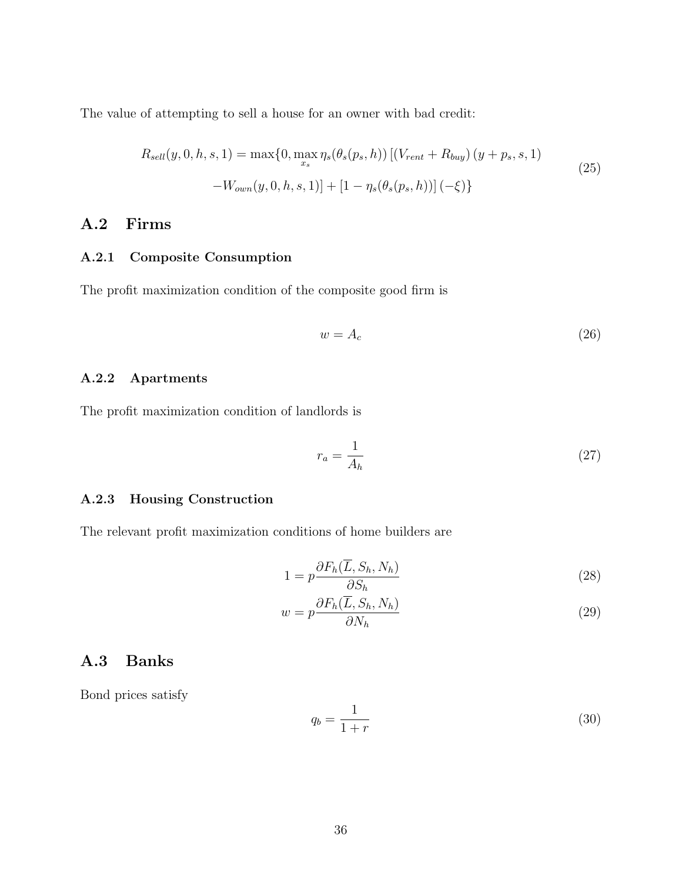The value of attempting to sell a house for an owner with bad credit:

<span id="page-35-0"></span>
$$
R_{sell}(y, 0, h, s, 1) = \max\{0, \max_{x_s} \eta_s(\theta_s(p_s, h)) \left[ (V_{rent} + R_{buy}) (y + p_s, s, 1) - W_{own}(y, 0, h, s, 1) \right] + \left[ 1 - \eta_s(\theta_s(p_s, h)) \right] (-\xi) \}
$$
\n(25)

### A.2 Firms

### A.2.1 Composite Consumption

The profit maximization condition of the composite good firm is

<span id="page-35-3"></span>
$$
w = A_c \tag{26}
$$

### A.2.2 Apartments

The profit maximization condition of landlords is

$$
r_a = \frac{1}{A_h} \tag{27}
$$

#### A.2.3 Housing Construction

The relevant profit maximization conditions of home builders are

$$
1 = p \frac{\partial F_h(\overline{L}, S_h, N_h)}{\partial S_h} \tag{28}
$$

$$
w = p \frac{\partial F_h(\overline{L}, S_h, N_h)}{\partial N_h} \tag{29}
$$

### A.3 Banks

Bond prices satisfy

<span id="page-35-2"></span><span id="page-35-1"></span>
$$
q_b = \frac{1}{1+r} \tag{30}
$$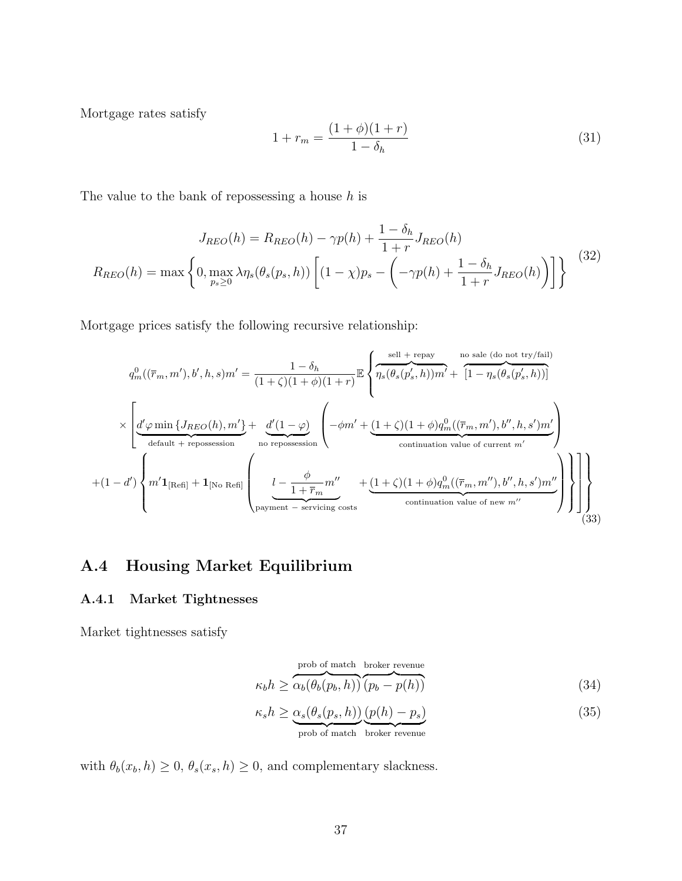Mortgage rates satisfy

<span id="page-36-3"></span>
$$
1 + r_m = \frac{(1+\phi)(1+r)}{1-\delta_h} \tag{31}
$$

The value to the bank of repossessing a house  $h$  is

<span id="page-36-4"></span>
$$
J_{REO}(h) = R_{REO}(h) - \gamma p(h) + \frac{1 - \delta_h}{1 + r} J_{REO}(h)
$$

$$
R_{REO}(h) = \max \left\{ 0, \max_{p_s \ge 0} \lambda \eta_s(\theta_s(p_s, h)) \left[ (1 - \chi)p_s - \left( -\gamma p(h) + \frac{1 - \delta_h}{1 + r} J_{REO}(h) \right) \right] \right\}
$$
(32)

Mortgage prices satisfy the following recursive relationship:

<span id="page-36-0"></span>
$$
q_m^0((\overline{r}_m, m'), b', h, s)m' = \frac{1 - \delta_h}{(1 + \zeta)(1 + \phi)(1 + r)} \mathbb{E} \left\{ \overbrace{\eta_s(\theta_s(p'_s, h))m'}^{\text{self + repay}} + \overbrace{\left[1 - \eta_s(\theta_s(p'_s, h))\right]}^{\text{no sale (do not try/fail)}} \right\}
$$

$$
\times \left[ \underbrace{d'\varphi \min \{J_{REO}(h), m'\}}_{\text{default + repossession}} + \underbrace{d'(1 - \varphi)}_{\text{no repossession}} \left( -\phi m' + \underbrace{(1 + \zeta)(1 + \phi)q_m^0((\overline{r}_m, m'), b'', h, s')m'}_{\text{continuation value of current } m'} \right)
$$

$$
+ (1 - d') \left\{ m' \mathbf{1}_{[\text{Refi}]} + \mathbf{1}_{[\text{No Ref}]}\right\}
$$

$$
\left[ \underbrace{l - \frac{\phi}{1 + \overline{r}_m} m''}_{\text{payment - serving costs}} + \underbrace{(1 + \zeta)(1 + \phi)q_m^0((\overline{r}_m, m''), b'', h, s')m''}_{\text{continuation value of new } m''} \right] \right\} \right\}
$$
(33)

## A.4 Housing Market Equilibrium

#### A.4.1 Market Tightnesses

Market tightnesses satisfy

<span id="page-36-2"></span><span id="page-36-1"></span>
$$
\kappa_b h \ge \overbrace{\alpha_b(\theta_b(p_b, h))}^{\text{prob of match broken revenue}} (34)
$$

$$
\kappa_s h \ge \underbrace{\alpha_s(\theta_s(p_s, h))}_{\text{prob of match}} \underbrace{(p(h) - p_s)}_{\text{broken revenue}} \tag{35}
$$

with  $\theta_b(x_b, h) \ge 0$ ,  $\theta_s(x_s, h) \ge 0$ , and complementary slackness.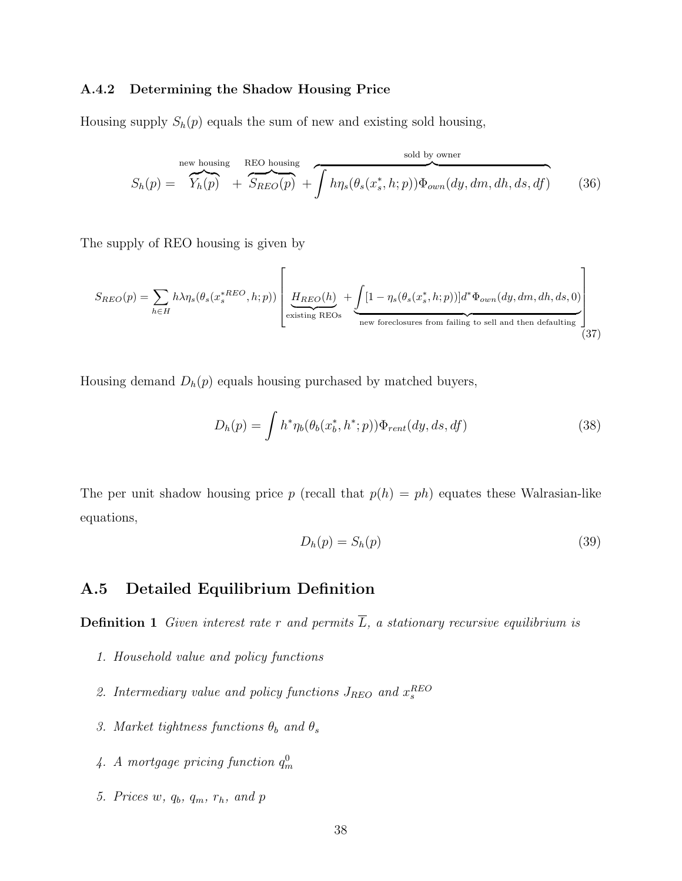#### A.4.2 Determining the Shadow Housing Price

Housing supply  $S_h(p)$  equals the sum of new and existing sold housing,

<span id="page-37-0"></span>
$$
S_h(p) = \overbrace{Y_h(p)}^{\text{new housing}} + \overbrace{S_{REO}(p)}^{\text{REO housing}} + \overbrace{\int h\eta_s(\theta_s(x_s^*, h; p))\Phi_{own}(dy, dm, dh, ds, df)}^{\text{ sold by owner}}
$$
(36)

The supply of REO housing is given by

$$
S_{REO}(p) = \sum_{h \in H} h\lambda \eta_s(\theta_s(x_s^{*REO}, h; p)) \left[ \underbrace{H_{REO}(h)}_{\text{existing REOs}} + \underbrace{\int [1 - \eta_s(\theta_s(x_s^*, h; p))] d^* \Phi_{own}(dy, dm, dh, ds, 0)}_{\text{new foreclosures from failing to sell and then defaulting}} \right]
$$
(37)

Housing demand  $D_h(p)$  equals housing purchased by matched buyers,

$$
D_h(p) = \int h^* \eta_b(\theta_b(x_b^*, h^*; p)) \Phi_{rent}(dy, ds, df)
$$
\n(38)

The per unit shadow housing price p (recall that  $p(h) = ph$ ) equates these Walrasian-like equations,

<span id="page-37-1"></span>
$$
D_h(p) = S_h(p) \tag{39}
$$

### A.5 Detailed Equilibrium Definition

**Definition 1** Given interest rate r and permits  $\overline{L}$ , a stationary recursive equilibrium is

- 1. Household value and policy functions
- 2. Intermediary value and policy functions  $J_{REO}$  and  $x_s^{REO}$
- 3. Market tightness functions  $\theta_b$  and  $\theta_s$
- 4. A mortgage pricing function  $q_m^0$
- 5. Prices w,  $q_b$ ,  $q_m$ ,  $r_h$ , and  $p$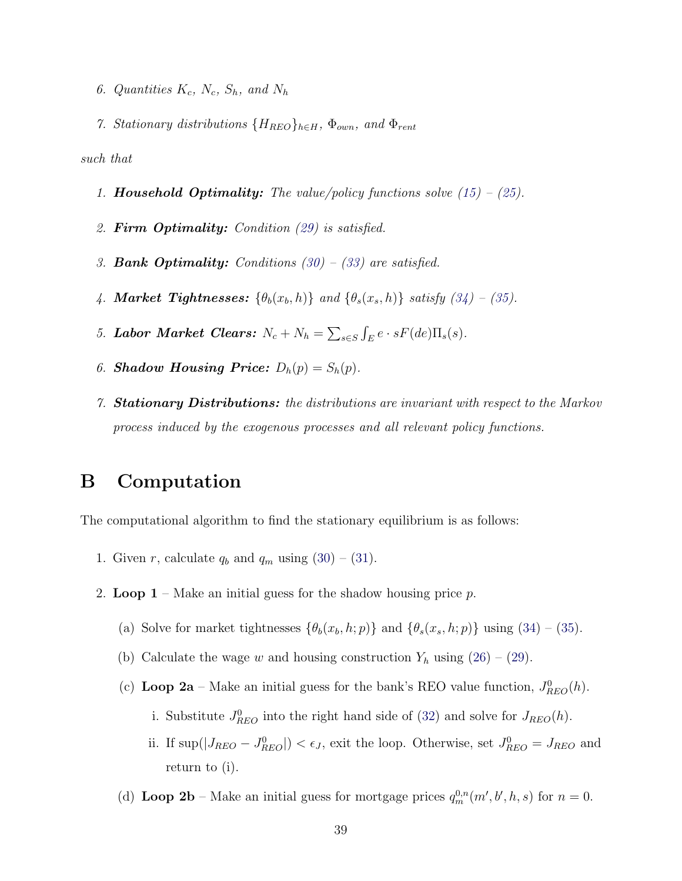- 6. Quantities  $K_c$ ,  $N_c$ ,  $S_h$ , and  $N_h$
- 7. Stationary distributions  $\{H_{REO}\}_{h\in H}$ ,  $\Phi_{own}$ , and  $\Phi_{rent}$

such that

- 1. **Household Optimality:** The value/policy functions solve  $(15) (25)$  $(15) (25)$  $(15) (25)$ .
- 2. Firm Optimality: Condition [\(29\)](#page-35-1) is satisfied.
- 3. **Bank Optimality:** Conditions  $(30) (33)$  $(30) (33)$  $(30) (33)$  are satisfied.
- 4. Market Tightnesses:  $\{\theta_b(x_b, h)\}\$  and  $\{\theta_s(x_s, h)\}\$  satisfy  $(34)$   $(35)$ .
- 5. Labor Market Clears:  $N_c + N_h = \sum_{s \in S} \int_E e \cdot sF(de) \Pi_s(s)$ .
- 6. **Shadow Housing Price:**  $D_h(p) = S_h(p)$ .
- 7. Stationary Distributions: the distributions are invariant with respect to the Markov process induced by the exogenous processes and all relevant policy functions.

## B Computation

The computational algorithm to find the stationary equilibrium is as follows:

- 1. Given r, calculate  $q_b$  and  $q_m$  using  $(30) (31)$  $(30) (31)$  $(30) (31)$ .
- 2. Loop  $1$  Make an initial guess for the shadow housing price p.
	- (a) Solve for market tightnesses  $\{\theta_b(x_b, h; p)\}\$  and  $\{\theta_s(x_s, h; p)\}\$  using  $(34) (35)$  $(34) (35)$  $(34) (35)$ .
	- (b) Calculate the wage w and housing construction  $Y_h$  using  $(26) (29)$  $(26) (29)$  $(26) (29)$ .
	- (c) Loop 2a Make an initial guess for the bank's REO value function,  $J_{REO}^0(h)$ .
		- i. Substitute  $J_{REO}^0$  into the right hand side of [\(32\)](#page-36-4) and solve for  $J_{REO}(h)$ .
		- ii. If  $\sup(|J_{REO} J_{REO}^0|) < \epsilon_J$ , exit the loop. Otherwise, set  $J_{REO}^0 = J_{REO}$  and return to (i).
	- (d) Loop 2b Make an initial guess for mortgage prices  $q_m^{0,n}(m',b',h,s)$  for  $n=0$ .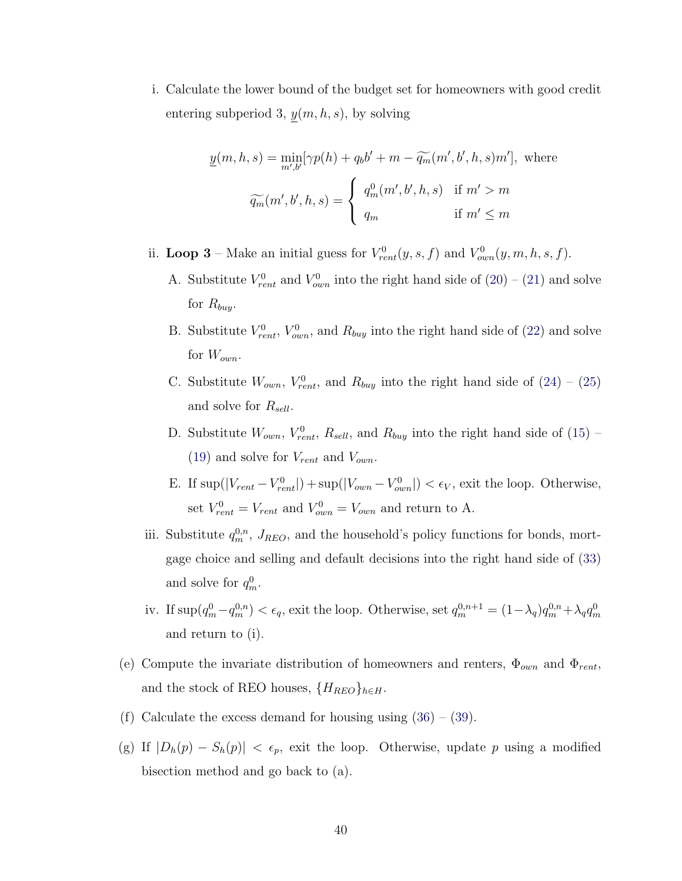i. Calculate the lower bound of the budget set for homeowners with good credit entering subperiod 3,  $y(m, h, s)$ , by solving

$$
\underline{y}(m, h, s) = \min_{m', b'} [\gamma p(h) + q_b b' + m - \widetilde{q_m}(m', b', h, s)m'], \text{ where}
$$

$$
\widetilde{q_m}(m', b', h, s) = \begin{cases} q_m^0(m', b', h, s) & \text{if } m' > m \\ q_m & \text{if } m' \le m \end{cases}
$$

ii. Loop 3 – Make an initial guess for  $V_{rent}^0(y, s, f)$  and  $V_{own}^0(y, m, h, s, f)$ .

- A. Substitute  $V_{rent}^0$  and  $V_{own}^0$  into the right hand side of  $(20) (21)$  $(20) (21)$  $(20) (21)$  and solve for  $R_{buy}$ .
- B. Substitute  $V_{rent}^0$ ,  $V_{own}^0$ , and  $R_{buy}$  into the right hand side of [\(22\)](#page-34-2) and solve for  $W_{own}$ .
- C. Substitute  $W_{own}$ ,  $V_{rent}^0$ , and  $R_{buy}$  into the right hand side of  $(24) (25)$  $(24) (25)$  $(24) (25)$ and solve for  $R_{sell}$ .
- D. Substitute  $W_{own}$ ,  $V_{rent}^0$ ,  $R_{sell}$ , and  $R_{buy}$  into the right hand side of [\(15\)](#page-32-1) [\(19\)](#page-33-0) and solve for  $V_{rent}$  and  $V_{own}$ .
- E. If  $\sup(|V_{rent} V_{rent}^0|) + \sup(|V_{own} V_{own}^0|) < \epsilon_V$ , exit the loop. Otherwise, set  $V_{rent}^0 = V_{rent}$  and  $V_{own}^0 = V_{own}$  and return to A.
- iii. Substitute  $q_m^{0,n}$ ,  $J_{REO}$ , and the household's policy functions for bonds, mortgage choice and selling and default decisions into the right hand side of [\(33\)](#page-36-0) and solve for  $q_m^0$ .
- iv. If  $\sup(q_m^0 q_m^{0,n}) < \epsilon_q$ , exit the loop. Otherwise, set  $q_m^{0,n+1} = (1 \lambda_q)q_m^{0,n} + \lambda_q q_m^{0,n}$ and return to (i).
- (e) Compute the invariate distribution of homeowners and renters,  $\Phi_{own}$  and  $\Phi_{rent}$ . and the stock of REO houses,  $\{H_{REO}\}_{h\in H}$ .
- (f) Calculate the excess demand for housing using  $(36) (39)$  $(36) (39)$  $(36) (39)$ .
- (g) If  $|D_h(p) S_h(p)| < \epsilon_p$ , exit the loop. Otherwise, update p using a modified bisection method and go back to (a).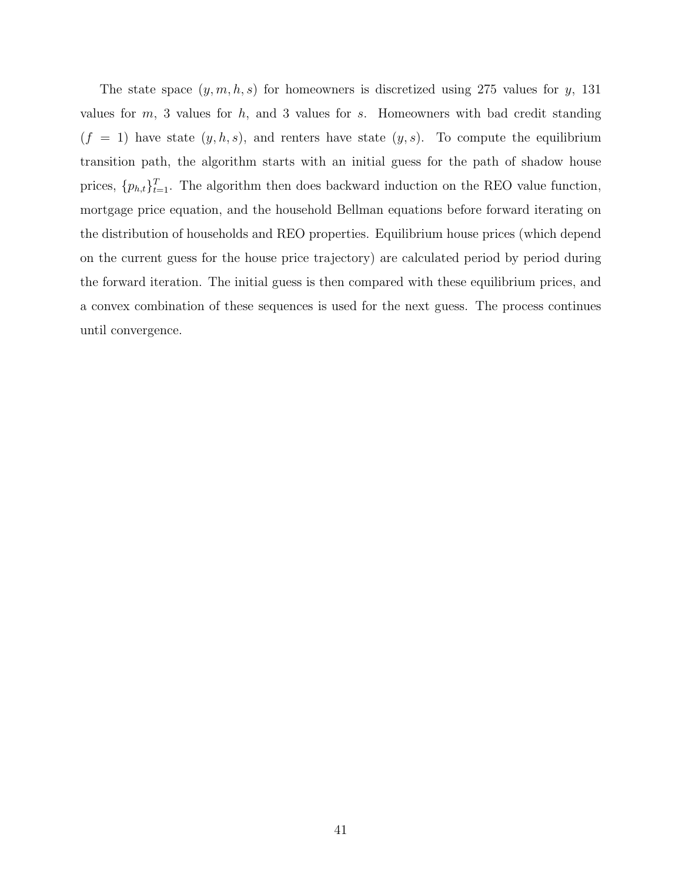The state space  $(y, m, h, s)$  for homeowners is discretized using 275 values for y, 131 values for  $m$ , 3 values for  $h$ , and 3 values for  $s$ . Homeowners with bad credit standing  $(f = 1)$  have state  $(y, h, s)$ , and renters have state  $(y, s)$ . To compute the equilibrium transition path, the algorithm starts with an initial guess for the path of shadow house prices,  $\{p_{h,t}\}_{t=1}^T$ . The algorithm then does backward induction on the REO value function, mortgage price equation, and the household Bellman equations before forward iterating on the distribution of households and REO properties. Equilibrium house prices (which depend on the current guess for the house price trajectory) are calculated period by period during the forward iteration. The initial guess is then compared with these equilibrium prices, and a convex combination of these sequences is used for the next guess. The process continues until convergence.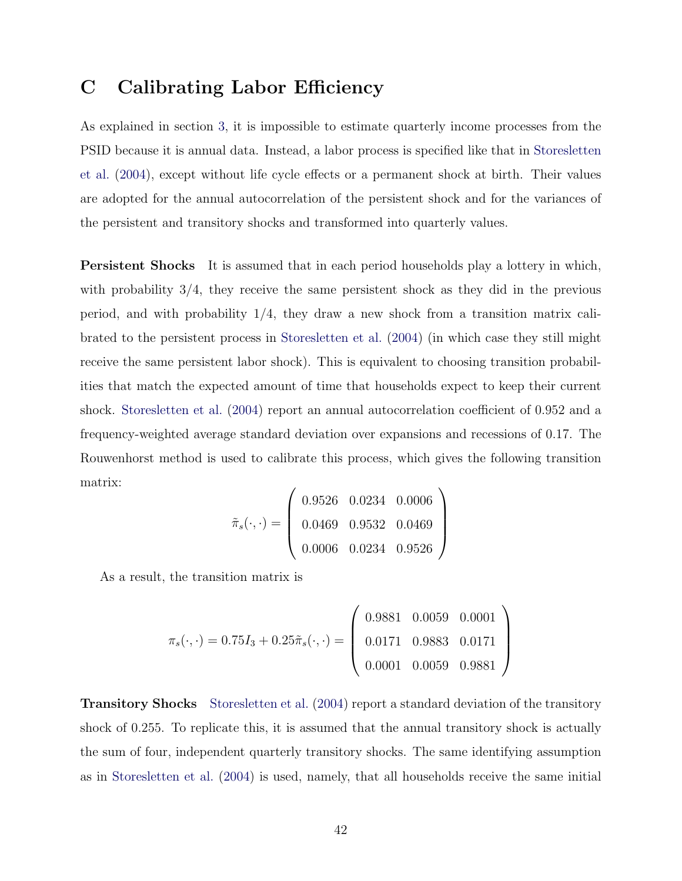## C Calibrating Labor Efficiency

As explained in section [3,](#page-15-1) it is impossible to estimate quarterly income processes from the PSID because it is annual data. Instead, a labor process is specified like that in [Storesletten](#page-31-2) [et al.](#page-31-2) [\(2004\)](#page-31-2), except without life cycle effects or a permanent shock at birth. Their values are adopted for the annual autocorrelation of the persistent shock and for the variances of the persistent and transitory shocks and transformed into quarterly values.

Persistent Shocks It is assumed that in each period households play a lottery in which, with probability  $3/4$ , they receive the same persistent shock as they did in the previous period, and with probability 1/4, they draw a new shock from a transition matrix calibrated to the persistent process in [Storesletten et al.](#page-31-2) [\(2004\)](#page-31-2) (in which case they still might receive the same persistent labor shock). This is equivalent to choosing transition probabilities that match the expected amount of time that households expect to keep their current shock. [Storesletten et al.](#page-31-2) [\(2004\)](#page-31-2) report an annual autocorrelation coefficient of 0.952 and a frequency-weighted average standard deviation over expansions and recessions of 0.17. The Rouwenhorst method is used to calibrate this process, which gives the following transition matrix:

$$
\tilde{\pi}_s(\cdot,\cdot) = \left(\begin{array}{ccc} 0.9526 & 0.0234 & 0.0006 \\ 0.0469 & 0.9532 & 0.0469 \\ 0.0006 & 0.0234 & 0.9526 \end{array}\right)
$$

As a result, the transition matrix is

$$
\pi_s(\cdot, \cdot) = 0.75I_3 + 0.25\tilde{\pi}_s(\cdot, \cdot) = \begin{pmatrix} 0.9881 & 0.0059 & 0.0001 \\ 0.0171 & 0.9883 & 0.0171 \\ 0.0001 & 0.0059 & 0.9881 \end{pmatrix}
$$

Transitory Shocks [Storesletten et al.](#page-31-2) [\(2004\)](#page-31-2) report a standard deviation of the transitory shock of 0.255. To replicate this, it is assumed that the annual transitory shock is actually the sum of four, independent quarterly transitory shocks. The same identifying assumption as in [Storesletten et al.](#page-31-2) [\(2004\)](#page-31-2) is used, namely, that all households receive the same initial